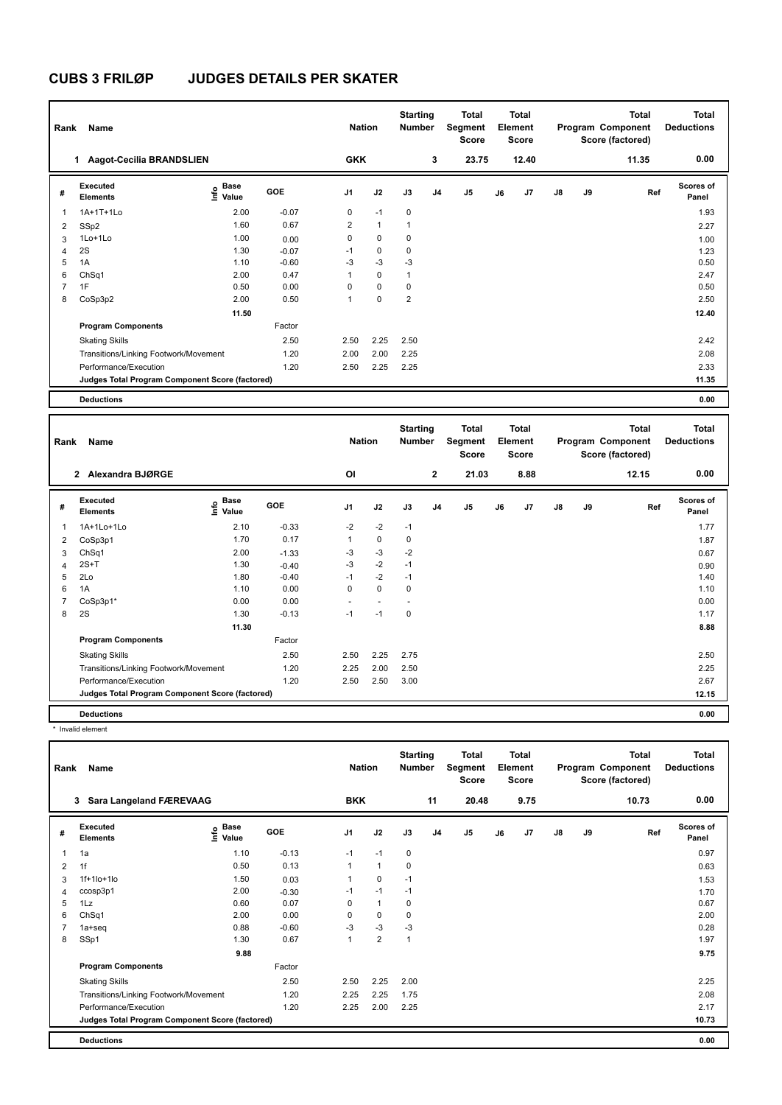| Rank                     | Name                                            |                       |         | <b>Nation</b>  |              | <b>Starting</b><br><b>Number</b> |                | Total<br>Segment<br><b>Score</b> |    | <b>Total</b><br>Element<br><b>Score</b> |               |    | <b>Total</b><br>Program Component<br>Score (factored) | <b>Total</b><br><b>Deductions</b> |
|--------------------------|-------------------------------------------------|-----------------------|---------|----------------|--------------|----------------------------------|----------------|----------------------------------|----|-----------------------------------------|---------------|----|-------------------------------------------------------|-----------------------------------|
|                          | Aagot-Cecilia BRANDSLIEN<br>1.                  |                       |         | <b>GKK</b>     |              |                                  | 3              | 23.75                            |    | 12.40                                   |               |    | 11.35                                                 | 0.00                              |
| #                        | Executed<br><b>Elements</b>                     | Base<br>١nfo<br>Value | GOE     | J1             | J2           | J3                               | J <sub>4</sub> | J <sub>5</sub>                   | J6 | J <sub>7</sub>                          | $\mathsf{J}8$ | J9 | Ref                                                   | <b>Scores of</b><br>Panel         |
| $\overline{\phantom{a}}$ | 1A+1T+1Lo                                       | 2.00                  | $-0.07$ | 0              | $-1$         | $\mathbf 0$                      |                |                                  |    |                                         |               |    |                                                       | 1.93                              |
| $\overline{2}$           | SSp2                                            | 1.60                  | 0.67    | $\overline{2}$ | $\mathbf{1}$ | $\mathbf{1}$                     |                |                                  |    |                                         |               |    |                                                       | 2.27                              |
| 3                        | $1$ Lo $+1$ Lo                                  | 1.00                  | 0.00    | 0              | $\mathbf 0$  | 0                                |                |                                  |    |                                         |               |    |                                                       | 1.00                              |
| $\overline{4}$           | 2S                                              | 1.30                  | $-0.07$ | $-1$           | $\pmb{0}$    | 0                                |                |                                  |    |                                         |               |    |                                                       | 1.23                              |
| 5                        | 1A                                              | 1.10                  | $-0.60$ | $-3$           | $-3$         | $-3$                             |                |                                  |    |                                         |               |    |                                                       | 0.50                              |
| 6                        | ChSq1                                           | 2.00                  | 0.47    |                | $\mathbf 0$  | 1                                |                |                                  |    |                                         |               |    |                                                       | 2.47                              |
| $\overline{7}$           | 1F                                              | 0.50                  | 0.00    | 0              | 0            | 0                                |                |                                  |    |                                         |               |    |                                                       | 0.50                              |
| 8                        | CoSp3p2                                         | 2.00                  | 0.50    | 1              | 0            | $\overline{2}$                   |                |                                  |    |                                         |               |    |                                                       | 2.50                              |
|                          |                                                 | 11.50                 |         |                |              |                                  |                |                                  |    |                                         |               |    |                                                       | 12.40                             |
|                          | <b>Program Components</b>                       |                       | Factor  |                |              |                                  |                |                                  |    |                                         |               |    |                                                       |                                   |
|                          | <b>Skating Skills</b>                           |                       | 2.50    | 2.50           | 2.25         | 2.50                             |                |                                  |    |                                         |               |    |                                                       | 2.42                              |
|                          | Transitions/Linking Footwork/Movement           |                       | 1.20    | 2.00           | 2.00         | 2.25                             |                |                                  |    |                                         |               |    |                                                       | 2.08                              |
|                          | Performance/Execution                           |                       | 1.20    | 2.50           | 2.25         | 2.25                             |                |                                  |    |                                         |               |    |                                                       | 2.33                              |
|                          | Judges Total Program Component Score (factored) |                       |         |                |              |                                  |                |                                  |    |                                         |               |    |                                                       | 11.35                             |
|                          | <b>Deductions</b>                               |                       |         |                |              |                                  |                |                                  |    |                                         |               |    |                                                       | 0.00                              |

| Rank           | Name                                            |                           |            | <b>Nation</b>  |             | <b>Starting</b><br><b>Number</b> |                | <b>Total</b><br>Segment<br><b>Score</b> |    | <b>Total</b><br>Element<br><b>Score</b> |    |    | <b>Total</b><br>Program Component<br>Score (factored) | <b>Total</b><br><b>Deductions</b> |
|----------------|-------------------------------------------------|---------------------------|------------|----------------|-------------|----------------------------------|----------------|-----------------------------------------|----|-----------------------------------------|----|----|-------------------------------------------------------|-----------------------------------|
|                | 2 Alexandra BJØRGE                              |                           |            | <b>OI</b>      |             |                                  | $\mathbf{2}$   | 21.03                                   |    | 8.88                                    |    |    | 12.15                                                 | 0.00                              |
| #              | <b>Executed</b><br><b>Elements</b>              | Base<br>e Base<br>⊆ Value | <b>GOE</b> | J <sub>1</sub> | J2          | J3                               | J <sub>4</sub> | J <sub>5</sub>                          | J6 | J7                                      | J8 | J9 | Ref                                                   | <b>Scores of</b><br>Panel         |
| 1              | 1A+1Lo+1Lo                                      | 2.10                      | $-0.33$    | $-2$           | $-2$        | $-1$                             |                |                                         |    |                                         |    |    |                                                       | 1.77                              |
| 2              | CoSp3p1                                         | 1.70                      | 0.17       | 1              | $\mathbf 0$ | $\mathbf 0$                      |                |                                         |    |                                         |    |    |                                                       | 1.87                              |
| 3              | ChSq1                                           | 2.00                      | $-1.33$    | $-3$           | $-3$        | $-2$                             |                |                                         |    |                                         |    |    |                                                       | 0.67                              |
| 4              | $2S+T$                                          | 1.30                      | $-0.40$    | $-3$           | $-2$        | $-1$                             |                |                                         |    |                                         |    |    |                                                       | 0.90                              |
| 5              | 2Lo                                             | 1.80                      | $-0.40$    | $-1$           | $-2$        | $-1$                             |                |                                         |    |                                         |    |    |                                                       | 1.40                              |
| 6              | 1A                                              | 1.10                      | 0.00       | 0              | $\mathbf 0$ | $\mathbf 0$                      |                |                                         |    |                                         |    |    |                                                       | 1.10                              |
| $\overline{7}$ | CoSp3p1*                                        | 0.00                      | 0.00       | $\sim$         |             |                                  |                |                                         |    |                                         |    |    |                                                       | 0.00                              |
| 8              | 2S                                              | 1.30                      | $-0.13$    | $-1$           | $-1$        | $\mathbf 0$                      |                |                                         |    |                                         |    |    |                                                       | 1.17                              |
|                |                                                 | 11.30                     |            |                |             |                                  |                |                                         |    |                                         |    |    |                                                       | 8.88                              |
|                | <b>Program Components</b>                       |                           | Factor     |                |             |                                  |                |                                         |    |                                         |    |    |                                                       |                                   |
|                | <b>Skating Skills</b>                           |                           | 2.50       | 2.50           | 2.25        | 2.75                             |                |                                         |    |                                         |    |    |                                                       | 2.50                              |
|                | Transitions/Linking Footwork/Movement           |                           | 1.20       | 2.25           | 2.00        | 2.50                             |                |                                         |    |                                         |    |    |                                                       | 2.25                              |
|                | Performance/Execution                           |                           | 1.20       | 2.50           | 2.50        | 3.00                             |                |                                         |    |                                         |    |    |                                                       | 2.67                              |
|                | Judges Total Program Component Score (factored) |                           |            |                |             |                                  |                |                                         |    |                                         |    |    |                                                       | 12.15                             |
|                | <b>Deductions</b>                               |                           |            |                |             |                                  |                |                                         |    |                                         |    |    |                                                       | 0.00                              |

\* Invalid element

| Rank | Name                                            |                            |         | <b>Nation</b>  |                | <b>Starting</b><br><b>Number</b> |                | <b>Total</b><br>Segment<br><b>Score</b> |    | <b>Total</b><br>Element<br><b>Score</b> |               |    | <b>Total</b><br>Program Component<br>Score (factored) | <b>Total</b><br><b>Deductions</b> |
|------|-------------------------------------------------|----------------------------|---------|----------------|----------------|----------------------------------|----------------|-----------------------------------------|----|-----------------------------------------|---------------|----|-------------------------------------------------------|-----------------------------------|
|      | Sara Langeland FÆREVAAG<br>3                    |                            |         | <b>BKK</b>     |                |                                  | 11             | 20.48                                   |    | 9.75                                    |               |    | 10.73                                                 | 0.00                              |
| #    | Executed<br><b>Elements</b>                     | <b>Base</b><br>۴o<br>Value | GOE     | J <sub>1</sub> | J2             | J3                               | J <sub>4</sub> | J5                                      | J6 | J7                                      | $\mathsf{J}8$ | J9 | Ref                                                   | Scores of<br>Panel                |
| 1    | 1a                                              | 1.10                       | $-0.13$ | $-1$           | $-1$           | 0                                |                |                                         |    |                                         |               |    |                                                       | 0.97                              |
| 2    | 1f                                              | 0.50                       | 0.13    |                | $\mathbf{1}$   | 0                                |                |                                         |    |                                         |               |    |                                                       | 0.63                              |
| 3    | $1f+1$ lo $+1$ lo                               | 1.50                       | 0.03    |                | $\mathbf 0$    | $-1$                             |                |                                         |    |                                         |               |    |                                                       | 1.53                              |
| 4    | ccosp3p1                                        | 2.00                       | $-0.30$ | $-1$           | $-1$           | $-1$                             |                |                                         |    |                                         |               |    |                                                       | 1.70                              |
| 5    | 1Lz                                             | 0.60                       | 0.07    | 0              | $\mathbf{1}$   | 0                                |                |                                         |    |                                         |               |    |                                                       | 0.67                              |
| 6    | ChSq1                                           | 2.00                       | 0.00    | 0              | $\Omega$       | 0                                |                |                                         |    |                                         |               |    |                                                       | 2.00                              |
|      | $1a + seq$                                      | 0.88                       | $-0.60$ | $-3$           | $-3$           | $-3$                             |                |                                         |    |                                         |               |    |                                                       | 0.28                              |
| 8    | SSp1                                            | 1.30                       | 0.67    | 1              | $\overline{2}$ | 1                                |                |                                         |    |                                         |               |    |                                                       | 1.97                              |
|      |                                                 | 9.88                       |         |                |                |                                  |                |                                         |    |                                         |               |    |                                                       | 9.75                              |
|      | <b>Program Components</b>                       |                            | Factor  |                |                |                                  |                |                                         |    |                                         |               |    |                                                       |                                   |
|      | <b>Skating Skills</b>                           |                            | 2.50    | 2.50           | 2.25           | 2.00                             |                |                                         |    |                                         |               |    |                                                       | 2.25                              |
|      | Transitions/Linking Footwork/Movement           |                            | 1.20    | 2.25           | 2.25           | 1.75                             |                |                                         |    |                                         |               |    |                                                       | 2.08                              |
|      | Performance/Execution                           |                            | 1.20    | 2.25           | 2.00           | 2.25                             |                |                                         |    |                                         |               |    |                                                       | 2.17                              |
|      | Judges Total Program Component Score (factored) |                            |         |                |                |                                  |                |                                         |    |                                         |               |    |                                                       | 10.73                             |
|      | <b>Deductions</b>                               |                            |         |                |                |                                  |                |                                         |    |                                         |               |    |                                                       | 0.00                              |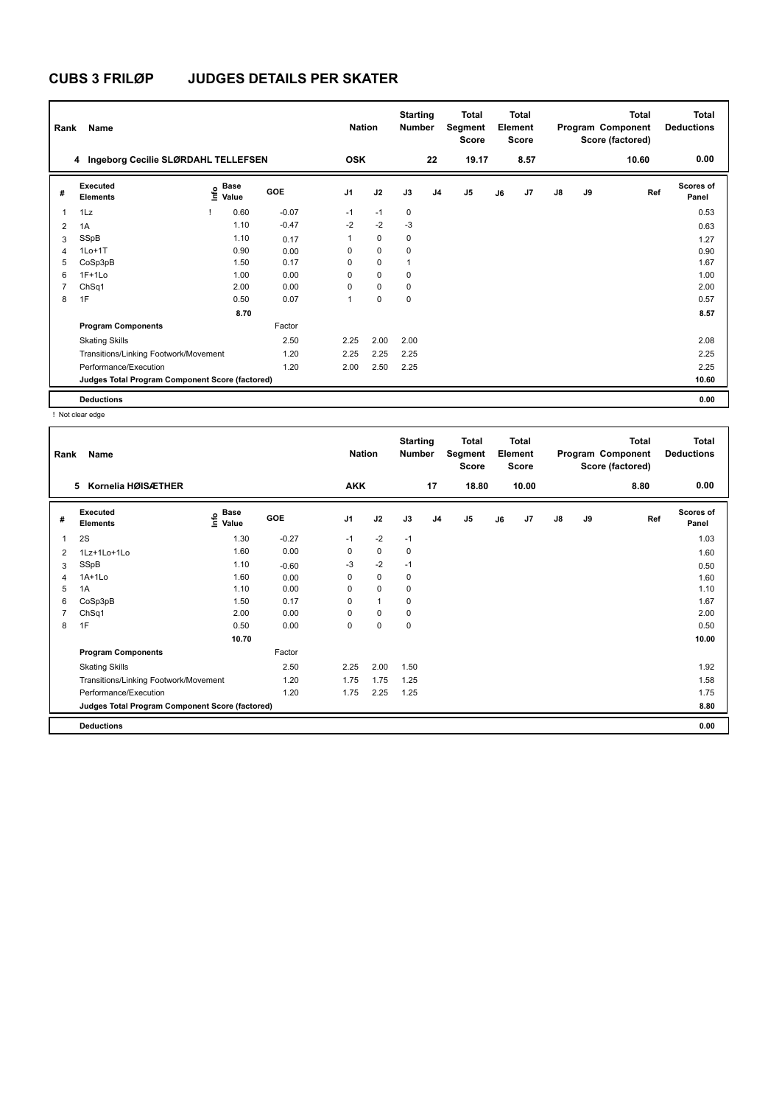| Rank           | Name                                            |                              |         | <b>Nation</b>  |             | <b>Starting</b><br><b>Number</b> |                | <b>Total</b><br>Segment<br><b>Score</b> |    | <b>Total</b><br>Element<br><b>Score</b> |               |    | <b>Total</b><br>Program Component<br>Score (factored) | <b>Total</b><br><b>Deductions</b> |
|----------------|-------------------------------------------------|------------------------------|---------|----------------|-------------|----------------------------------|----------------|-----------------------------------------|----|-----------------------------------------|---------------|----|-------------------------------------------------------|-----------------------------------|
|                | 4 Ingeborg Cecilie SLØRDAHL TELLEFSEN           |                              |         | <b>OSK</b>     |             |                                  | 22             | 19.17                                   |    | 8.57                                    |               |    | 10.60                                                 | 0.00                              |
| #              | Executed<br><b>Elements</b>                     | <b>Base</b><br>١nfo<br>Value | GOE     | J <sub>1</sub> | J2          | J3                               | J <sub>4</sub> | J <sub>5</sub>                          | J6 | J <sub>7</sub>                          | $\mathsf{J}8$ | J9 | Ref                                                   | <b>Scores of</b><br>Panel         |
| $\overline{1}$ | 1Lz                                             | 0.60                         | $-0.07$ | $-1$           | $-1$        | $\mathbf 0$                      |                |                                         |    |                                         |               |    |                                                       | 0.53                              |
| $\overline{2}$ | 1A                                              | 1.10                         | $-0.47$ | $-2$           | $-2$        | $-3$                             |                |                                         |    |                                         |               |    |                                                       | 0.63                              |
| 3              | SSpB                                            | 1.10                         | 0.17    | 1              | $\Omega$    | $\mathbf 0$                      |                |                                         |    |                                         |               |    |                                                       | 1.27                              |
| 4              | $1Lo+1T$                                        | 0.90                         | 0.00    | 0              | $\mathbf 0$ | $\mathbf 0$                      |                |                                         |    |                                         |               |    |                                                       | 0.90                              |
| 5              | CoSp3pB                                         | 1.50                         | 0.17    | 0              | $\Omega$    | и                                |                |                                         |    |                                         |               |    |                                                       | 1.67                              |
| 6              | $1F+1Lo$                                        | 1.00                         | 0.00    | 0              | $\Omega$    | 0                                |                |                                         |    |                                         |               |    |                                                       | 1.00                              |
| $\overline{7}$ | ChSq1                                           | 2.00                         | 0.00    | 0              | $\mathbf 0$ | 0                                |                |                                         |    |                                         |               |    |                                                       | 2.00                              |
| 8              | 1F                                              | 0.50                         | 0.07    | 1              | $\mathbf 0$ | 0                                |                |                                         |    |                                         |               |    |                                                       | 0.57                              |
|                |                                                 | 8.70                         |         |                |             |                                  |                |                                         |    |                                         |               |    |                                                       | 8.57                              |
|                | <b>Program Components</b>                       |                              | Factor  |                |             |                                  |                |                                         |    |                                         |               |    |                                                       |                                   |
|                | <b>Skating Skills</b>                           |                              | 2.50    | 2.25           | 2.00        | 2.00                             |                |                                         |    |                                         |               |    |                                                       | 2.08                              |
|                | Transitions/Linking Footwork/Movement           |                              | 1.20    | 2.25           | 2.25        | 2.25                             |                |                                         |    |                                         |               |    |                                                       | 2.25                              |
|                | Performance/Execution                           |                              | 1.20    | 2.00           | 2.50        | 2.25                             |                |                                         |    |                                         |               |    |                                                       | 2.25                              |
|                | Judges Total Program Component Score (factored) |                              |         |                |             |                                  |                |                                         |    |                                         |               |    |                                                       | 10.60                             |
|                | <b>Deductions</b>                               |                              |         |                |             |                                  |                |                                         |    |                                         |               |    |                                                       | 0.00                              |

! Not clear edge

| Rank           | Name                                            |                                             |         | <b>Nation</b>  |              | <b>Starting</b><br>Number |                | <b>Total</b><br>Segment<br><b>Score</b> |    | <b>Total</b><br>Element<br><b>Score</b> |               |    | <b>Total</b><br>Program Component<br>Score (factored) | Total<br><b>Deductions</b> |
|----------------|-------------------------------------------------|---------------------------------------------|---------|----------------|--------------|---------------------------|----------------|-----------------------------------------|----|-----------------------------------------|---------------|----|-------------------------------------------------------|----------------------------|
|                | 5 Kornelia HØISÆTHER                            |                                             |         | <b>AKK</b>     |              |                           | 17             | 18.80                                   |    | 10.00                                   |               |    | 8.80                                                  | 0.00                       |
| #              | Executed<br><b>Elements</b>                     | <b>Base</b><br>e <sup>Base</sup><br>⊆ Value | GOE     | J <sub>1</sub> | J2           | J3                        | J <sub>4</sub> | J5                                      | J6 | J7                                      | $\mathsf{J}8$ | J9 | Ref                                                   | <b>Scores of</b><br>Panel  |
| 1              | 2S                                              | 1.30                                        | $-0.27$ | $-1$           | $-2$         | $-1$                      |                |                                         |    |                                         |               |    |                                                       | 1.03                       |
| $\overline{2}$ | 1Lz+1Lo+1Lo                                     | 1.60                                        | 0.00    | 0              | $\mathbf 0$  | 0                         |                |                                         |    |                                         |               |    |                                                       | 1.60                       |
| 3              | SSpB                                            | 1.10                                        | $-0.60$ | $-3$           | $-2$         | $-1$                      |                |                                         |    |                                         |               |    |                                                       | 0.50                       |
| 4              | $1A+1L0$                                        | 1.60                                        | 0.00    | 0              | $\mathbf 0$  | 0                         |                |                                         |    |                                         |               |    |                                                       | 1.60                       |
| 5              | 1A                                              | 1.10                                        | 0.00    | $\Omega$       | $\Omega$     | $\Omega$                  |                |                                         |    |                                         |               |    |                                                       | 1.10                       |
| 6              | CoSp3pB                                         | 1.50                                        | 0.17    | 0              | $\mathbf{1}$ | 0                         |                |                                         |    |                                         |               |    |                                                       | 1.67                       |
| 7              | ChSq1                                           | 2.00                                        | 0.00    | 0              | $\mathbf 0$  | 0                         |                |                                         |    |                                         |               |    |                                                       | 2.00                       |
| 8              | 1F                                              | 0.50                                        | 0.00    | 0              | $\mathbf 0$  | $\mathbf 0$               |                |                                         |    |                                         |               |    |                                                       | 0.50                       |
|                |                                                 | 10.70                                       |         |                |              |                           |                |                                         |    |                                         |               |    |                                                       | 10.00                      |
|                | <b>Program Components</b>                       |                                             | Factor  |                |              |                           |                |                                         |    |                                         |               |    |                                                       |                            |
|                | <b>Skating Skills</b>                           |                                             | 2.50    | 2.25           | 2.00         | 1.50                      |                |                                         |    |                                         |               |    |                                                       | 1.92                       |
|                | Transitions/Linking Footwork/Movement           |                                             | 1.20    | 1.75           | 1.75         | 1.25                      |                |                                         |    |                                         |               |    |                                                       | 1.58                       |
|                | Performance/Execution                           |                                             | 1.20    | 1.75           | 2.25         | 1.25                      |                |                                         |    |                                         |               |    |                                                       | 1.75                       |
|                | Judges Total Program Component Score (factored) |                                             |         |                |              |                           |                |                                         |    |                                         |               |    |                                                       | 8.80                       |
|                | <b>Deductions</b>                               |                                             |         |                |              |                           |                |                                         |    |                                         |               |    |                                                       | 0.00                       |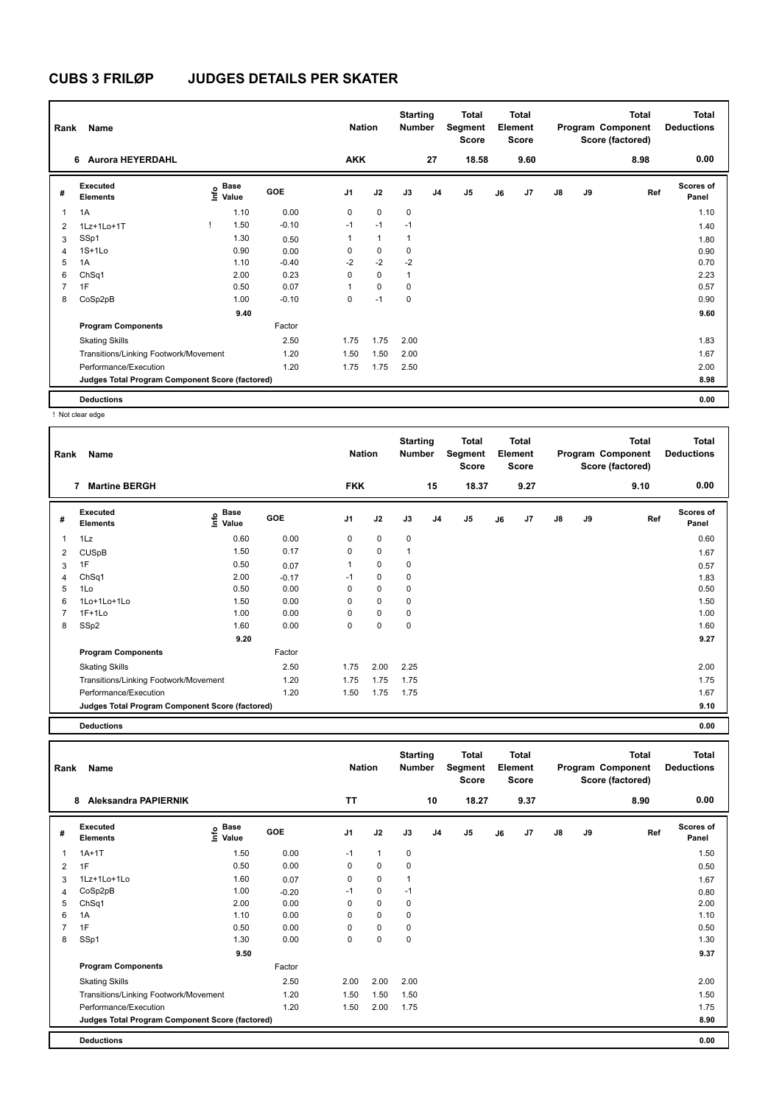| Rank | Name                                            |                              |      |         | <b>Nation</b>  |              | <b>Starting</b><br><b>Number</b> |                | <b>Total</b><br>Segment<br><b>Score</b> |    | <b>Total</b><br>Element<br><b>Score</b> |               |    | <b>Total</b><br>Program Component<br>Score (factored) | <b>Total</b><br><b>Deductions</b> |
|------|-------------------------------------------------|------------------------------|------|---------|----------------|--------------|----------------------------------|----------------|-----------------------------------------|----|-----------------------------------------|---------------|----|-------------------------------------------------------|-----------------------------------|
|      | <b>Aurora HEYERDAHL</b><br>6                    |                              |      |         | <b>AKK</b>     |              |                                  | 27             | 18.58                                   |    | 9.60                                    |               |    | 8.98                                                  | 0.00                              |
| #    | Executed<br><b>Elements</b>                     | <b>Base</b><br>Info<br>Value |      | GOE     | J <sub>1</sub> | J2           | J3                               | J <sub>4</sub> | J <sub>5</sub>                          | J6 | J7                                      | $\mathsf{J}8$ | J9 | Ref                                                   | <b>Scores of</b><br>Panel         |
| 1    | 1A                                              | 1.10                         |      | 0.00    | 0              | $\mathbf 0$  | $\mathbf 0$                      |                |                                         |    |                                         |               |    |                                                       | 1.10                              |
| 2    | 1Lz+1Lo+1T                                      | 1.50                         |      | $-0.10$ | $-1$           | $-1$         | $-1$                             |                |                                         |    |                                         |               |    |                                                       | 1.40                              |
| 3    | SSp1                                            | 1.30                         |      | 0.50    | 1              | $\mathbf{1}$ | 1                                |                |                                         |    |                                         |               |    |                                                       | 1.80                              |
| 4    | $1S+1L0$                                        | 0.90                         |      | 0.00    | 0              | $\mathbf 0$  | 0                                |                |                                         |    |                                         |               |    |                                                       | 0.90                              |
| 5    | 1A                                              | 1.10                         |      | $-0.40$ | $-2$           | $-2$         | $-2$                             |                |                                         |    |                                         |               |    |                                                       | 0.70                              |
| 6    | ChSq1                                           | 2.00                         |      | 0.23    | 0              | $\mathbf 0$  | 1                                |                |                                         |    |                                         |               |    |                                                       | 2.23                              |
|      | 1F                                              | 0.50                         |      | 0.07    |                | $\mathbf 0$  | 0                                |                |                                         |    |                                         |               |    |                                                       | 0.57                              |
| 8    | CoSp2pB                                         | 1.00                         |      | $-0.10$ | 0              | $-1$         | 0                                |                |                                         |    |                                         |               |    |                                                       | 0.90                              |
|      |                                                 |                              | 9.40 |         |                |              |                                  |                |                                         |    |                                         |               |    |                                                       | 9.60                              |
|      | <b>Program Components</b>                       |                              |      | Factor  |                |              |                                  |                |                                         |    |                                         |               |    |                                                       |                                   |
|      | <b>Skating Skills</b>                           |                              |      | 2.50    | 1.75           | 1.75         | 2.00                             |                |                                         |    |                                         |               |    |                                                       | 1.83                              |
|      | Transitions/Linking Footwork/Movement           |                              |      | 1.20    | 1.50           | 1.50         | 2.00                             |                |                                         |    |                                         |               |    |                                                       | 1.67                              |
|      | Performance/Execution                           |                              |      | 1.20    | 1.75           | 1.75         | 2.50                             |                |                                         |    |                                         |               |    |                                                       | 2.00                              |
|      | Judges Total Program Component Score (factored) |                              |      |         |                |              |                                  |                |                                         |    |                                         |               |    |                                                       | 8.98                              |
|      | <b>Deductions</b>                               |                              |      |         |                |              |                                  |                |                                         |    |                                         |               |    |                                                       | 0.00                              |

! Not clear edge

| Rank | Name                                            |                       |         | <b>Nation</b>  |             | <b>Starting</b><br><b>Number</b> |                | Total<br>Segment<br><b>Score</b> |    | <b>Total</b><br>Element<br><b>Score</b> |    |    | <b>Total</b><br>Program Component<br>Score (factored) | <b>Total</b><br><b>Deductions</b> |
|------|-------------------------------------------------|-----------------------|---------|----------------|-------------|----------------------------------|----------------|----------------------------------|----|-----------------------------------------|----|----|-------------------------------------------------------|-----------------------------------|
|      | 7<br><b>Martine BERGH</b>                       |                       |         | <b>FKK</b>     |             |                                  | 15             | 18.37                            |    | 9.27                                    |    |    | 9.10                                                  | 0.00                              |
| #    | Executed<br><b>Elements</b>                     | Base<br>Info<br>Value | GOE     | J <sub>1</sub> | J2          | J3                               | J <sub>4</sub> | J <sub>5</sub>                   | J6 | J <sub>7</sub>                          | J8 | J9 | Ref                                                   | <b>Scores of</b><br>Panel         |
| 1    | 1Lz                                             | 0.60                  | 0.00    | 0              | 0           | 0                                |                |                                  |    |                                         |    |    |                                                       | 0.60                              |
| 2    | <b>CUSpB</b>                                    | 1.50                  | 0.17    | 0              | 0           |                                  |                |                                  |    |                                         |    |    |                                                       | 1.67                              |
| 3    | 1F                                              | 0.50                  | 0.07    | 1              | $\mathbf 0$ | 0                                |                |                                  |    |                                         |    |    |                                                       | 0.57                              |
| 4    | ChSq1                                           | 2.00                  | $-0.17$ | $-1$           | 0           | 0                                |                |                                  |    |                                         |    |    |                                                       | 1.83                              |
| 5    | 1Lo                                             | 0.50                  | 0.00    | $\Omega$       | 0           | 0                                |                |                                  |    |                                         |    |    |                                                       | 0.50                              |
| 6    | 1Lo+1Lo+1Lo                                     | 1.50                  | 0.00    | 0              | 0           | 0                                |                |                                  |    |                                         |    |    |                                                       | 1.50                              |
| 7    | $1F+1Lo$                                        | 1.00                  | 0.00    | 0              | 0           | 0                                |                |                                  |    |                                         |    |    |                                                       | 1.00                              |
| 8    | SSp2                                            | 1.60                  | 0.00    | 0              | 0           | 0                                |                |                                  |    |                                         |    |    |                                                       | 1.60                              |
|      |                                                 | 9.20                  |         |                |             |                                  |                |                                  |    |                                         |    |    |                                                       | 9.27                              |
|      | <b>Program Components</b>                       |                       | Factor  |                |             |                                  |                |                                  |    |                                         |    |    |                                                       |                                   |
|      | <b>Skating Skills</b>                           |                       | 2.50    | 1.75           | 2.00        | 2.25                             |                |                                  |    |                                         |    |    |                                                       | 2.00                              |
|      | Transitions/Linking Footwork/Movement           |                       | 1.20    | 1.75           | 1.75        | 1.75                             |                |                                  |    |                                         |    |    |                                                       | 1.75                              |
|      | Performance/Execution                           |                       | 1.20    | 1.50           | 1.75        | 1.75                             |                |                                  |    |                                         |    |    |                                                       | 1.67                              |
|      | Judges Total Program Component Score (factored) |                       |         |                |             |                                  |                |                                  |    |                                         |    |    |                                                       | 9.10                              |

**Deductions 0.00**

| Rank | Name                                            |                                    |         | <b>Nation</b>  |              | <b>Starting</b><br><b>Number</b> |                | <b>Total</b><br>Segment<br><b>Score</b> |    | Total<br>Element<br><b>Score</b> |               |    | <b>Total</b><br>Program Component<br>Score (factored) | <b>Total</b><br><b>Deductions</b> |
|------|-------------------------------------------------|------------------------------------|---------|----------------|--------------|----------------------------------|----------------|-----------------------------------------|----|----------------------------------|---------------|----|-------------------------------------------------------|-----------------------------------|
|      | 8<br>Aleksandra PAPIERNIK                       |                                    |         | <b>TT</b>      |              |                                  | 10             | 18.27                                   |    | 9.37                             |               |    | 8.90                                                  | 0.00                              |
| #    | Executed<br><b>Elements</b>                     | <b>Base</b><br>$\frac{6}{5}$ Value | GOE     | J <sub>1</sub> | J2           | J3                               | J <sub>4</sub> | J <sub>5</sub>                          | J6 | J7                               | $\mathsf{J}8$ | J9 | Ref                                                   | Scores of<br>Panel                |
| 1    | $1A+1T$                                         | 1.50                               | 0.00    | $-1$           | $\mathbf{1}$ | $\mathbf 0$                      |                |                                         |    |                                  |               |    |                                                       | 1.50                              |
| 2    | 1F                                              | 0.50                               | 0.00    | 0              | $\mathbf 0$  | $\mathbf 0$                      |                |                                         |    |                                  |               |    |                                                       | 0.50                              |
| 3    | 1Lz+1Lo+1Lo                                     | 1.60                               | 0.07    | 0              | $\mathbf 0$  | 1                                |                |                                         |    |                                  |               |    |                                                       | 1.67                              |
| 4    | CoSp2pB                                         | 1.00                               | $-0.20$ | $-1$           | $\mathbf 0$  | $-1$                             |                |                                         |    |                                  |               |    |                                                       | 0.80                              |
| 5    | ChSq1                                           | 2.00                               | 0.00    | 0              | $\Omega$     | 0                                |                |                                         |    |                                  |               |    |                                                       | 2.00                              |
| 6    | 1A                                              | 1.10                               | 0.00    | 0              | $\Omega$     | 0                                |                |                                         |    |                                  |               |    |                                                       | 1.10                              |
|      | 1F                                              | 0.50                               | 0.00    | 0              | $\Omega$     | 0                                |                |                                         |    |                                  |               |    |                                                       | 0.50                              |
| 8    | SSp1                                            | 1.30                               | 0.00    | 0              | $\mathbf 0$  | 0                                |                |                                         |    |                                  |               |    |                                                       | 1.30                              |
|      |                                                 | 9.50                               |         |                |              |                                  |                |                                         |    |                                  |               |    |                                                       | 9.37                              |
|      | <b>Program Components</b>                       |                                    | Factor  |                |              |                                  |                |                                         |    |                                  |               |    |                                                       |                                   |
|      | <b>Skating Skills</b>                           |                                    | 2.50    | 2.00           | 2.00         | 2.00                             |                |                                         |    |                                  |               |    |                                                       | 2.00                              |
|      | Transitions/Linking Footwork/Movement           |                                    | 1.20    | 1.50           | 1.50         | 1.50                             |                |                                         |    |                                  |               |    |                                                       | 1.50                              |
|      | Performance/Execution                           |                                    | 1.20    | 1.50           | 2.00         | 1.75                             |                |                                         |    |                                  |               |    |                                                       | 1.75                              |
|      | Judges Total Program Component Score (factored) |                                    |         |                |              |                                  |                |                                         |    |                                  |               |    |                                                       | 8.90                              |
|      | <b>Deductions</b>                               |                                    |         |                |              |                                  |                |                                         |    |                                  |               |    |                                                       | 0.00                              |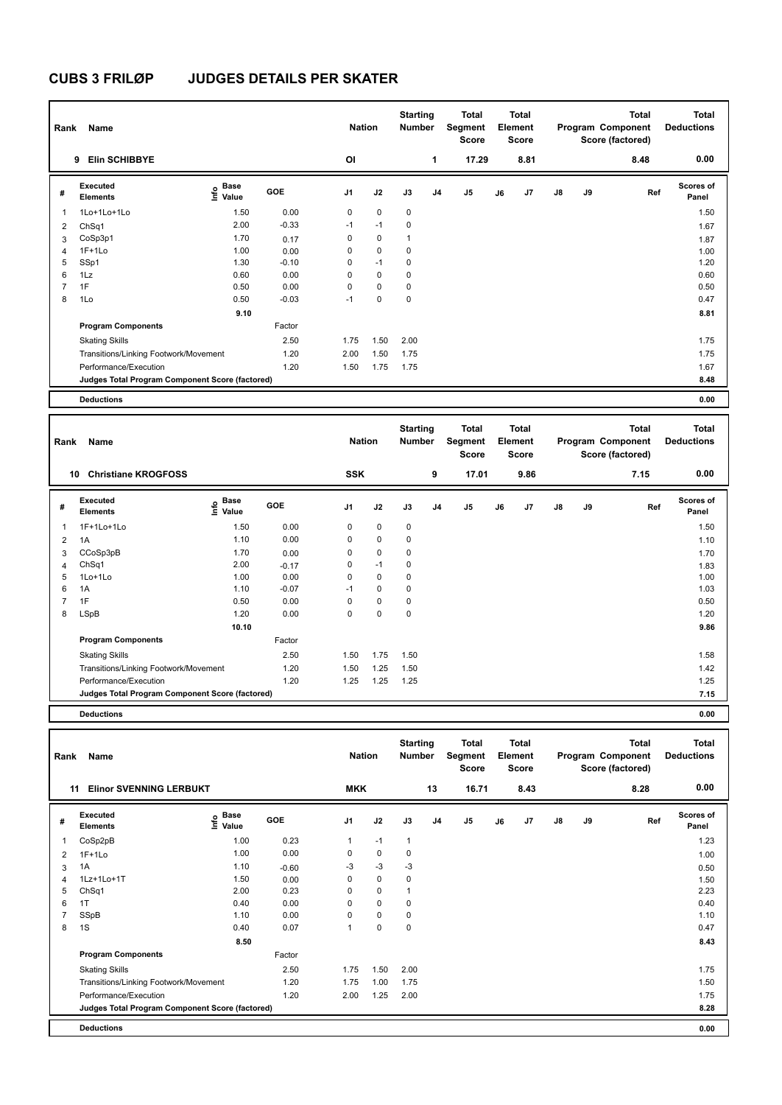| Rank           | Name                                            |                              |         | <b>Nation</b>  |             | <b>Starting</b><br>Number |    | Total<br>Segment<br><b>Score</b> |    | <b>Total</b><br>Element<br><b>Score</b> |               |    | <b>Total</b><br>Program Component<br>Score (factored) | <b>Total</b><br><b>Deductions</b> |
|----------------|-------------------------------------------------|------------------------------|---------|----------------|-------------|---------------------------|----|----------------------------------|----|-----------------------------------------|---------------|----|-------------------------------------------------------|-----------------------------------|
|                | <b>Elin SCHIBBYE</b><br>9                       |                              |         | OI             |             |                           | 1  | 17.29                            |    | 8.81                                    |               |    | 8.48                                                  | 0.00                              |
| #              | Executed<br><b>Elements</b>                     | <b>Base</b><br>Info<br>Value | GOE     | J <sub>1</sub> | J2          | J3                        | J4 | J5                               | J6 | J7                                      | $\mathsf{J}8$ | J9 | Ref                                                   | <b>Scores of</b><br>Panel         |
| 1              | 1Lo+1Lo+1Lo                                     | 1.50                         | 0.00    | 0              | $\mathbf 0$ | 0                         |    |                                  |    |                                         |               |    |                                                       | 1.50                              |
| 2              | ChSq1                                           | 2.00                         | $-0.33$ | $-1$           | $-1$        | 0                         |    |                                  |    |                                         |               |    |                                                       | 1.67                              |
| 3              | CoSp3p1                                         | 1.70                         | 0.17    | 0              | 0           | 1                         |    |                                  |    |                                         |               |    |                                                       | 1.87                              |
| $\overline{4}$ | $1F+1Lo$                                        | 1.00                         | 0.00    | 0              | 0           | 0                         |    |                                  |    |                                         |               |    |                                                       | 1.00                              |
| 5              | SSp1                                            | 1.30                         | $-0.10$ | 0              | $-1$        | 0                         |    |                                  |    |                                         |               |    |                                                       | 1.20                              |
| 6              | 1Lz                                             | 0.60                         | 0.00    | 0              | $\mathbf 0$ | 0                         |    |                                  |    |                                         |               |    |                                                       | 0.60                              |
| $\overline{7}$ | 1F                                              | 0.50                         | 0.00    | 0              | $\mathbf 0$ | 0                         |    |                                  |    |                                         |               |    |                                                       | 0.50                              |
| 8              | 1Lo                                             | 0.50                         | $-0.03$ | $-1$           | $\mathbf 0$ | 0                         |    |                                  |    |                                         |               |    |                                                       | 0.47                              |
|                |                                                 | 9.10                         |         |                |             |                           |    |                                  |    |                                         |               |    |                                                       | 8.81                              |
|                | <b>Program Components</b>                       |                              | Factor  |                |             |                           |    |                                  |    |                                         |               |    |                                                       |                                   |
|                | <b>Skating Skills</b>                           |                              | 2.50    | 1.75           | 1.50        | 2.00                      |    |                                  |    |                                         |               |    |                                                       | 1.75                              |
|                | Transitions/Linking Footwork/Movement           |                              | 1.20    | 2.00           | 1.50        | 1.75                      |    |                                  |    |                                         |               |    |                                                       | 1.75                              |
|                | Performance/Execution                           |                              | 1.20    | 1.50           | 1.75        | 1.75                      |    |                                  |    |                                         |               |    |                                                       | 1.67                              |
|                | Judges Total Program Component Score (factored) |                              |         |                |             |                           |    |                                  |    |                                         |               |    |                                                       | 8.48                              |
|                | <b>Deductions</b>                               |                              |         |                |             |                           |    |                                  |    |                                         |               |    |                                                       | 0.00                              |

| Rank | Name                                            |                                           |         | <b>Nation</b>  |             | <b>Starting</b><br><b>Number</b> |                | Total<br>Segment<br><b>Score</b> |    | Total<br>Element<br><b>Score</b> |               |    | <b>Total</b><br>Program Component<br>Score (factored) | <b>Total</b><br><b>Deductions</b> |
|------|-------------------------------------------------|-------------------------------------------|---------|----------------|-------------|----------------------------------|----------------|----------------------------------|----|----------------------------------|---------------|----|-------------------------------------------------------|-----------------------------------|
|      | <b>Christiane KROGFOSS</b><br>10                |                                           |         | <b>SSK</b>     |             |                                  | 9              | 17.01                            |    | 9.86                             |               |    | 7.15                                                  | 0.00                              |
| #    | <b>Executed</b><br><b>Elements</b>              | $\frac{6}{5}$ Base<br>$\frac{6}{5}$ Value | GOE     | J <sub>1</sub> | J2          | J3                               | J <sub>4</sub> | J5                               | J6 | J7                               | $\mathsf{J}8$ | J9 | Ref                                                   | Scores of<br>Panel                |
| 1    | 1F+1Lo+1Lo                                      | 1.50                                      | 0.00    | 0              | 0           | 0                                |                |                                  |    |                                  |               |    |                                                       | 1.50                              |
| 2    | 1A                                              | 1.10                                      | 0.00    | 0              | $\mathbf 0$ | 0                                |                |                                  |    |                                  |               |    |                                                       | 1.10                              |
| 3    | CCoSp3pB                                        | 1.70                                      | 0.00    | 0              | $\mathbf 0$ | $\mathbf 0$                      |                |                                  |    |                                  |               |    |                                                       | 1.70                              |
| 4    | ChSq1                                           | 2.00                                      | $-0.17$ | 0              | $-1$        | 0                                |                |                                  |    |                                  |               |    |                                                       | 1.83                              |
| 5    | 1Lo+1Lo                                         | 1.00                                      | 0.00    | 0              | $\mathbf 0$ | 0                                |                |                                  |    |                                  |               |    |                                                       | 1.00                              |
| 6    | 1A                                              | 1.10                                      | $-0.07$ | $-1$           | $\mathbf 0$ | 0                                |                |                                  |    |                                  |               |    |                                                       | 1.03                              |
| 7    | 1F                                              | 0.50                                      | 0.00    | 0              | $\mathbf 0$ | 0                                |                |                                  |    |                                  |               |    |                                                       | 0.50                              |
| 8    | LSpB                                            | 1.20                                      | 0.00    | 0              | $\mathbf 0$ | $\mathbf 0$                      |                |                                  |    |                                  |               |    |                                                       | 1.20                              |
|      |                                                 | 10.10                                     |         |                |             |                                  |                |                                  |    |                                  |               |    |                                                       | 9.86                              |
|      | <b>Program Components</b>                       |                                           | Factor  |                |             |                                  |                |                                  |    |                                  |               |    |                                                       |                                   |
|      | <b>Skating Skills</b>                           |                                           | 2.50    | 1.50           | 1.75        | 1.50                             |                |                                  |    |                                  |               |    |                                                       | 1.58                              |
|      | Transitions/Linking Footwork/Movement           |                                           | 1.20    | 1.50           | 1.25        | 1.50                             |                |                                  |    |                                  |               |    |                                                       | 1.42                              |
|      | Performance/Execution                           |                                           | 1.20    | 1.25           | 1.25        | 1.25                             |                |                                  |    |                                  |               |    |                                                       | 1.25                              |
|      | Judges Total Program Component Score (factored) |                                           |         |                |             |                                  |                |                                  |    |                                  |               |    |                                                       | 7.15                              |
|      | <b>Deductions</b>                               |                                           |         |                |             |                                  |                |                                  |    |                                  |               |    |                                                       | 0.00                              |

| Rank | Name                                            |                                  |            | <b>Nation</b>  |             | <b>Starting</b><br><b>Number</b> |                | <b>Total</b><br>Segment<br><b>Score</b> |    | <b>Total</b><br>Element<br><b>Score</b> |    |    | <b>Total</b><br>Program Component<br>Score (factored) | <b>Total</b><br><b>Deductions</b> |
|------|-------------------------------------------------|----------------------------------|------------|----------------|-------------|----------------------------------|----------------|-----------------------------------------|----|-----------------------------------------|----|----|-------------------------------------------------------|-----------------------------------|
| 11   | <b>Elinor SVENNING LERBUKT</b>                  |                                  |            | <b>MKK</b>     |             |                                  | 13             | 16.71                                   |    | 8.43                                    |    |    | 8.28                                                  | 0.00                              |
| #    | Executed<br><b>Elements</b>                     | <b>Base</b><br>e Base<br>⊆ Value | <b>GOE</b> | J <sub>1</sub> | J2          | J3                               | J <sub>4</sub> | J <sub>5</sub>                          | J6 | J <sub>7</sub>                          | J8 | J9 | Ref                                                   | <b>Scores of</b><br>Panel         |
| 1    | CoSp2pB                                         | 1.00                             | 0.23       | $\mathbf{1}$   | $-1$        | $\mathbf{1}$                     |                |                                         |    |                                         |    |    |                                                       | 1.23                              |
| 2    | $1F+1Lo$                                        | 1.00                             | 0.00       | 0              | $\mathbf 0$ | 0                                |                |                                         |    |                                         |    |    |                                                       | 1.00                              |
| 3    | 1A                                              | 1.10                             | $-0.60$    | $-3$           | $-3$        | $-3$                             |                |                                         |    |                                         |    |    |                                                       | 0.50                              |
| 4    | 1Lz+1Lo+1T                                      | 1.50                             | 0.00       | 0              | $\mathbf 0$ | 0                                |                |                                         |    |                                         |    |    |                                                       | 1.50                              |
| 5    | ChSq1                                           | 2.00                             | 0.23       | 0              | $\mathbf 0$ | 1                                |                |                                         |    |                                         |    |    |                                                       | 2.23                              |
| 6    | 1T                                              | 0.40                             | 0.00       | 0              | $\mathbf 0$ | $\mathbf 0$                      |                |                                         |    |                                         |    |    |                                                       | 0.40                              |
|      | SSpB                                            | 1.10                             | 0.00       | 0              | $\mathbf 0$ | 0                                |                |                                         |    |                                         |    |    |                                                       | 1.10                              |
| 8    | 1S                                              | 0.40                             | 0.07       | 1              | $\mathbf 0$ | 0                                |                |                                         |    |                                         |    |    |                                                       | 0.47                              |
|      |                                                 | 8.50                             |            |                |             |                                  |                |                                         |    |                                         |    |    |                                                       | 8.43                              |
|      | <b>Program Components</b>                       |                                  | Factor     |                |             |                                  |                |                                         |    |                                         |    |    |                                                       |                                   |
|      | <b>Skating Skills</b>                           |                                  | 2.50       | 1.75           | 1.50        | 2.00                             |                |                                         |    |                                         |    |    |                                                       | 1.75                              |
|      | Transitions/Linking Footwork/Movement           |                                  | 1.20       | 1.75           | 1.00        | 1.75                             |                |                                         |    |                                         |    |    |                                                       | 1.50                              |
|      | Performance/Execution                           |                                  | 1.20       | 2.00           | 1.25        | 2.00                             |                |                                         |    |                                         |    |    |                                                       | 1.75                              |
|      | Judges Total Program Component Score (factored) |                                  |            |                |             |                                  |                |                                         |    |                                         |    |    |                                                       | 8.28                              |
|      | <b>Deductions</b>                               |                                  |            |                |             |                                  |                |                                         |    |                                         |    |    |                                                       | 0.00                              |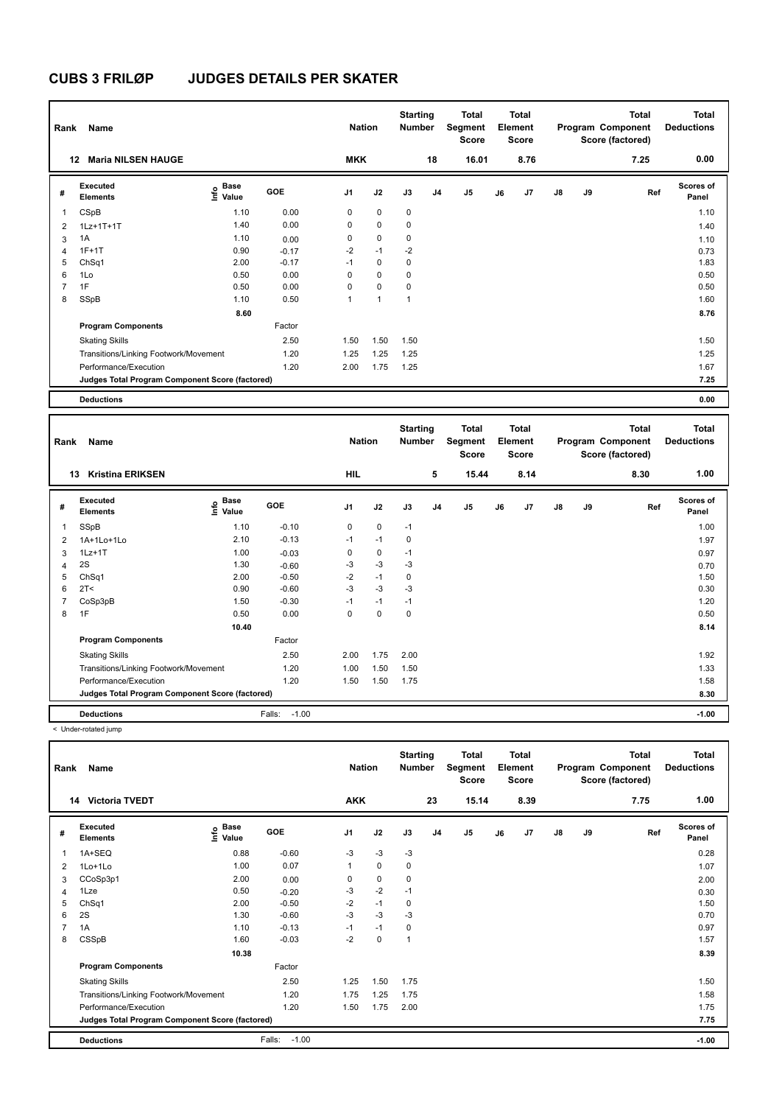| Rank           | Name                                            |                                  |         | <b>Nation</b>  |             | <b>Starting</b><br><b>Number</b> |                | Total<br>Segment<br><b>Score</b> |    | Total<br>Element<br><b>Score</b> |               |    | <b>Total</b><br>Program Component<br>Score (factored) | <b>Total</b><br><b>Deductions</b> |
|----------------|-------------------------------------------------|----------------------------------|---------|----------------|-------------|----------------------------------|----------------|----------------------------------|----|----------------------------------|---------------|----|-------------------------------------------------------|-----------------------------------|
|                | <b>Maria NILSEN HAUGE</b><br>12                 |                                  |         | <b>MKK</b>     |             |                                  | 18             | 16.01                            |    | 8.76                             |               |    | 7.25                                                  | 0.00                              |
| #              | Executed<br><b>Elements</b>                     | <b>Base</b><br>e Base<br>⊆ Value | GOE     | J <sub>1</sub> | J2          | J3                               | J <sub>4</sub> | J5                               | J6 | J <sub>7</sub>                   | $\mathsf{J}8$ | J9 | Ref                                                   | Scores of<br>Panel                |
| 1              | CSpB                                            | 1.10                             | 0.00    | 0              | $\mathbf 0$ | $\mathbf 0$                      |                |                                  |    |                                  |               |    |                                                       | 1.10                              |
| $\overline{2}$ | 1Lz+1T+1T                                       | 1.40                             | 0.00    | 0              | $\mathbf 0$ | $\mathbf 0$                      |                |                                  |    |                                  |               |    |                                                       | 1.40                              |
| 3              | 1A                                              | 1.10                             | 0.00    | 0              | $\mathbf 0$ | $\mathbf 0$                      |                |                                  |    |                                  |               |    |                                                       | 1.10                              |
| $\overline{4}$ | $1F+1T$                                         | 0.90                             | $-0.17$ | $-2$           | $-1$        | $-2$                             |                |                                  |    |                                  |               |    |                                                       | 0.73                              |
| 5              | ChSq1                                           | 2.00                             | $-0.17$ | $-1$           | $\mathbf 0$ | $\mathbf 0$                      |                |                                  |    |                                  |               |    |                                                       | 1.83                              |
| 6              | 1Lo                                             | 0.50                             | 0.00    | $\Omega$       | $\mathbf 0$ | $\mathbf 0$                      |                |                                  |    |                                  |               |    |                                                       | 0.50                              |
| $\overline{7}$ | 1F                                              | 0.50                             | 0.00    | 0              | $\mathbf 0$ | $\mathbf 0$                      |                |                                  |    |                                  |               |    |                                                       | 0.50                              |
| 8              | SSpB                                            | 1.10                             | 0.50    | 1              | 1           | $\mathbf{1}$                     |                |                                  |    |                                  |               |    |                                                       | 1.60                              |
|                |                                                 | 8.60                             |         |                |             |                                  |                |                                  |    |                                  |               |    |                                                       | 8.76                              |
|                | <b>Program Components</b>                       |                                  | Factor  |                |             |                                  |                |                                  |    |                                  |               |    |                                                       |                                   |
|                | <b>Skating Skills</b>                           |                                  | 2.50    | 1.50           | 1.50        | 1.50                             |                |                                  |    |                                  |               |    |                                                       | 1.50                              |
|                | Transitions/Linking Footwork/Movement           |                                  | 1.20    | 1.25           | 1.25        | 1.25                             |                |                                  |    |                                  |               |    |                                                       | 1.25                              |
|                | Performance/Execution                           |                                  | 1.20    | 2.00           | 1.75        | 1.25                             |                |                                  |    |                                  |               |    |                                                       | 1.67                              |
|                | Judges Total Program Component Score (factored) |                                  |         |                |             |                                  |                |                                  |    |                                  |               |    |                                                       | 7.25                              |
|                | <b>Deductions</b>                               |                                  |         |                |             |                                  |                |                                  |    |                                  |               |    |                                                       | 0.00                              |

| Rank           | Name                                            |                                  |                   | <b>Nation</b> |           | <b>Starting</b><br><b>Number</b> |    | <b>Total</b><br>Segment<br><b>Score</b> |    | Total<br>Element<br><b>Score</b> |               |    | <b>Total</b><br>Program Component<br>Score (factored) | <b>Total</b><br><b>Deductions</b> |
|----------------|-------------------------------------------------|----------------------------------|-------------------|---------------|-----------|----------------------------------|----|-----------------------------------------|----|----------------------------------|---------------|----|-------------------------------------------------------|-----------------------------------|
|                | <b>Kristina ERIKSEN</b><br>13                   |                                  |                   | <b>HIL</b>    |           |                                  | 5  | 15.44                                   |    | 8.14                             |               |    | 8.30                                                  | 1.00                              |
| #              | Executed<br><b>Elements</b>                     | <b>Base</b><br>e Base<br>⊆ Value | <b>GOE</b>        | J1            | J2        | J3                               | J4 | J <sub>5</sub>                          | J6 | J7                               | $\mathsf{J}8$ | J9 | Ref                                                   | <b>Scores of</b><br>Panel         |
| 1              | SSpB                                            | 1.10                             | $-0.10$           | 0             | 0         | $-1$                             |    |                                         |    |                                  |               |    |                                                       | 1.00                              |
| 2              | 1A+1Lo+1Lo                                      | 2.10                             | $-0.13$           | $-1$          | $-1$      | 0                                |    |                                         |    |                                  |               |    |                                                       | 1.97                              |
| 3              | $1Lz+1T$                                        | 1.00                             | $-0.03$           | 0             | $\pmb{0}$ | $-1$                             |    |                                         |    |                                  |               |    |                                                       | 0.97                              |
| 4              | 2S                                              | 1.30                             | $-0.60$           | $-3$          | $-3$      | $-3$                             |    |                                         |    |                                  |               |    |                                                       | 0.70                              |
| 5              | ChSq1                                           | 2.00                             | $-0.50$           | $-2$          | $-1$      | 0                                |    |                                         |    |                                  |               |    |                                                       | 1.50                              |
| 6              | 2T <                                            | 0.90                             | $-0.60$           | $-3$          | $-3$      | $-3$                             |    |                                         |    |                                  |               |    |                                                       | 0.30                              |
| $\overline{7}$ | CoSp3pB                                         | 1.50                             | $-0.30$           | $-1$          | $-1$      | $-1$                             |    |                                         |    |                                  |               |    |                                                       | 1.20                              |
| 8              | 1F                                              | 0.50                             | 0.00              | 0             | 0         | 0                                |    |                                         |    |                                  |               |    |                                                       | 0.50                              |
|                |                                                 | 10.40                            |                   |               |           |                                  |    |                                         |    |                                  |               |    |                                                       | 8.14                              |
|                | <b>Program Components</b>                       |                                  | Factor            |               |           |                                  |    |                                         |    |                                  |               |    |                                                       |                                   |
|                | <b>Skating Skills</b>                           |                                  | 2.50              | 2.00          | 1.75      | 2.00                             |    |                                         |    |                                  |               |    |                                                       | 1.92                              |
|                | Transitions/Linking Footwork/Movement           |                                  | 1.20              | 1.00          | 1.50      | 1.50                             |    |                                         |    |                                  |               |    |                                                       | 1.33                              |
|                | Performance/Execution                           |                                  | 1.20              | 1.50          | 1.50      | 1.75                             |    |                                         |    |                                  |               |    |                                                       | 1.58                              |
|                | Judges Total Program Component Score (factored) |                                  |                   |               |           |                                  |    |                                         |    |                                  |               |    |                                                       | 8.30                              |
|                | <b>Deductions</b>                               |                                  | Falls:<br>$-1.00$ |               |           |                                  |    |                                         |    |                                  |               |    |                                                       | $-1.00$                           |

< Under-rotated jump

| Rank | Name                                            |                                             |                   | <b>Nation</b>  |             | <b>Starting</b><br><b>Number</b> |                | <b>Total</b><br>Segment<br><b>Score</b> |    | <b>Total</b><br>Element<br><b>Score</b> |               |    | <b>Total</b><br>Program Component<br>Score (factored) | <b>Total</b><br><b>Deductions</b> |
|------|-------------------------------------------------|---------------------------------------------|-------------------|----------------|-------------|----------------------------------|----------------|-----------------------------------------|----|-----------------------------------------|---------------|----|-------------------------------------------------------|-----------------------------------|
|      | <b>Victoria TVEDT</b><br>14                     |                                             |                   | <b>AKK</b>     |             |                                  | 23             | 15.14                                   |    | 8.39                                    |               |    | 7.75                                                  | 1.00                              |
| #    | Executed<br><b>Elements</b>                     | <b>Base</b><br>e <sup>Base</sup><br>⊆ Value | <b>GOE</b>        | J <sub>1</sub> | J2          | J3                               | J <sub>4</sub> | J5                                      | J6 | J7                                      | $\mathsf{J}8$ | J9 | Ref                                                   | Scores of<br>Panel                |
|      | 1A+SEQ                                          | 0.88                                        | $-0.60$           | $-3$           | $-3$        | $-3$                             |                |                                         |    |                                         |               |    |                                                       | 0.28                              |
| 2    | 1Lo+1Lo                                         | 1.00                                        | 0.07              | 1              | $\mathbf 0$ | 0                                |                |                                         |    |                                         |               |    |                                                       | 1.07                              |
| 3    | CCoSp3p1                                        | 2.00                                        | 0.00              | 0              | $\mathbf 0$ | 0                                |                |                                         |    |                                         |               |    |                                                       | 2.00                              |
| 4    | 1Lze                                            | 0.50                                        | $-0.20$           | -3             | $-2$        | $-1$                             |                |                                         |    |                                         |               |    |                                                       | 0.30                              |
| 5    | ChSq1                                           | 2.00                                        | $-0.50$           | $-2$           | $-1$        | $\mathbf 0$                      |                |                                         |    |                                         |               |    |                                                       | 1.50                              |
| 6    | 2S                                              | 1.30                                        | $-0.60$           | $-3$           | $-3$        | $-3$                             |                |                                         |    |                                         |               |    |                                                       | 0.70                              |
| 7    | 1A                                              | 1.10                                        | $-0.13$           | $-1$           | $-1$        | 0                                |                |                                         |    |                                         |               |    |                                                       | 0.97                              |
| 8    | CSSpB                                           | 1.60                                        | $-0.03$           | $-2$           | $\mathbf 0$ | 1                                |                |                                         |    |                                         |               |    |                                                       | 1.57                              |
|      |                                                 | 10.38                                       |                   |                |             |                                  |                |                                         |    |                                         |               |    |                                                       | 8.39                              |
|      | <b>Program Components</b>                       |                                             | Factor            |                |             |                                  |                |                                         |    |                                         |               |    |                                                       |                                   |
|      | <b>Skating Skills</b>                           |                                             | 2.50              | 1.25           | 1.50        | 1.75                             |                |                                         |    |                                         |               |    |                                                       | 1.50                              |
|      | Transitions/Linking Footwork/Movement           |                                             | 1.20              | 1.75           | 1.25        | 1.75                             |                |                                         |    |                                         |               |    |                                                       | 1.58                              |
|      | Performance/Execution                           |                                             | 1.20              | 1.50           | 1.75        | 2.00                             |                |                                         |    |                                         |               |    |                                                       | 1.75                              |
|      | Judges Total Program Component Score (factored) |                                             |                   |                |             |                                  |                |                                         |    |                                         |               |    |                                                       | 7.75                              |
|      | <b>Deductions</b>                               |                                             | $-1.00$<br>Falls: |                |             |                                  |                |                                         |    |                                         |               |    |                                                       | $-1.00$                           |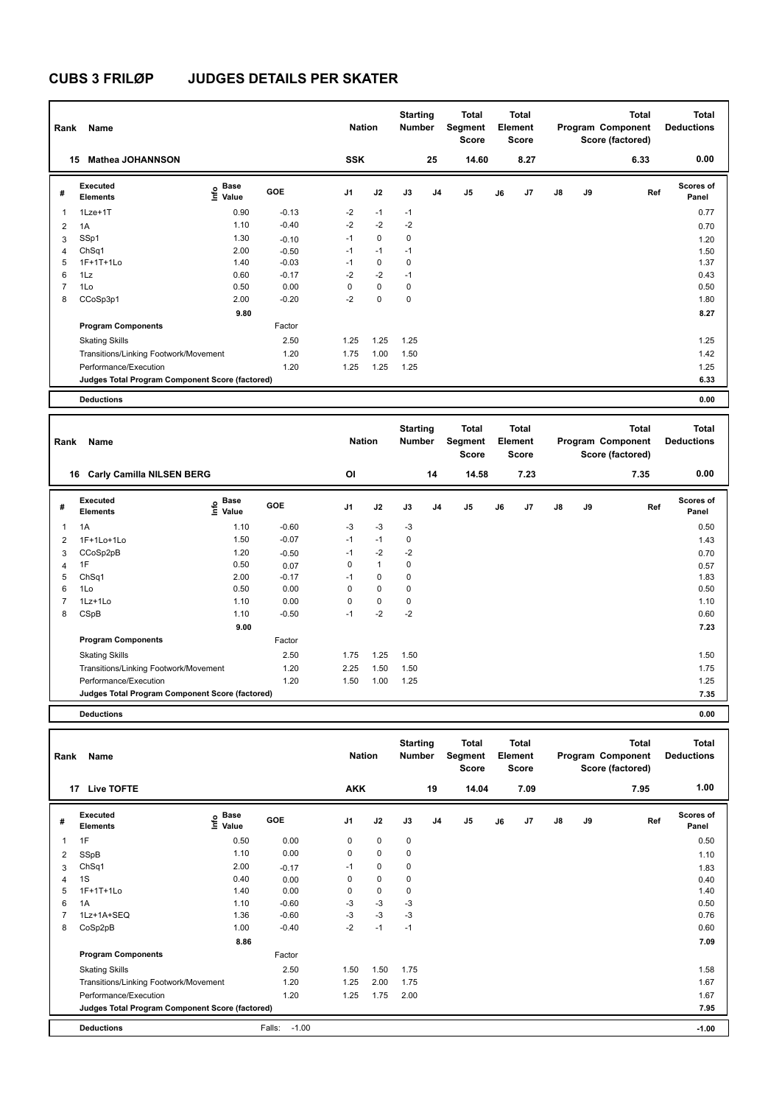| Rank                     | Name                                            |                       |         | <b>Nation</b> |             | <b>Starting</b><br><b>Number</b> |                | Total<br>Segment<br><b>Score</b> |    | <b>Total</b><br>Element<br><b>Score</b> |               |    | <b>Total</b><br>Program Component<br>Score (factored) | <b>Total</b><br><b>Deductions</b> |
|--------------------------|-------------------------------------------------|-----------------------|---------|---------------|-------------|----------------------------------|----------------|----------------------------------|----|-----------------------------------------|---------------|----|-------------------------------------------------------|-----------------------------------|
|                          | <b>Mathea JOHANNSON</b><br>15                   |                       |         | <b>SSK</b>    |             |                                  | 25             | 14.60                            |    | 8.27                                    |               |    | 6.33                                                  | 0.00                              |
| #                        | Executed<br><b>Elements</b>                     | Base<br>١nfo<br>Value | GOE     | J1            | J2          | J3                               | J <sub>4</sub> | J <sub>5</sub>                   | J6 | J7                                      | $\mathsf{J}8$ | J9 | Ref                                                   | <b>Scores of</b><br>Panel         |
| $\overline{\phantom{a}}$ | $1$ Lze $+1$ T                                  | 0.90                  | $-0.13$ | $-2$          | $-1$        | $-1$                             |                |                                  |    |                                         |               |    |                                                       | 0.77                              |
| $\overline{2}$           | 1A                                              | 1.10                  | $-0.40$ | $-2$          | $-2$        | $-2$                             |                |                                  |    |                                         |               |    |                                                       | 0.70                              |
| 3                        | SSp1                                            | 1.30                  | $-0.10$ | $-1$          | $\mathbf 0$ | 0                                |                |                                  |    |                                         |               |    |                                                       | 1.20                              |
| $\overline{4}$           | ChSq1                                           | 2.00                  | $-0.50$ | $-1$          | $-1$        | $-1$                             |                |                                  |    |                                         |               |    |                                                       | 1.50                              |
| 5                        | $1F+1T+1L0$                                     | 1.40                  | $-0.03$ | $-1$          | 0           | 0                                |                |                                  |    |                                         |               |    |                                                       | 1.37                              |
| 6                        | 1Lz                                             | 0.60                  | $-0.17$ | $-2$          | $-2$        | $-1$                             |                |                                  |    |                                         |               |    |                                                       | 0.43                              |
| $\overline{7}$           | 1Lo                                             | 0.50                  | 0.00    | 0             | 0           | 0                                |                |                                  |    |                                         |               |    |                                                       | 0.50                              |
| 8                        | CCoSp3p1                                        | 2.00                  | $-0.20$ | $-2$          | $\mathbf 0$ | 0                                |                |                                  |    |                                         |               |    |                                                       | 1.80                              |
|                          |                                                 | 9.80                  |         |               |             |                                  |                |                                  |    |                                         |               |    |                                                       | 8.27                              |
|                          | <b>Program Components</b>                       |                       | Factor  |               |             |                                  |                |                                  |    |                                         |               |    |                                                       |                                   |
|                          | <b>Skating Skills</b>                           |                       | 2.50    | 1.25          | 1.25        | 1.25                             |                |                                  |    |                                         |               |    |                                                       | 1.25                              |
|                          | Transitions/Linking Footwork/Movement           |                       | 1.20    | 1.75          | 1.00        | 1.50                             |                |                                  |    |                                         |               |    |                                                       | 1.42                              |
|                          | Performance/Execution                           |                       | 1.20    | 1.25          | 1.25        | 1.25                             |                |                                  |    |                                         |               |    |                                                       | 1.25                              |
|                          | Judges Total Program Component Score (factored) |                       |         |               |             |                                  |                |                                  |    |                                         |               |    |                                                       | 6.33                              |
|                          | <b>Deductions</b>                               |                       |         |               |             |                                  |                |                                  |    |                                         |               |    |                                                       | 0.00                              |

| Rank | Name                                            |                                   |         | <b>Nation</b> |              | <b>Starting</b><br>Number |    | <b>Total</b><br>Segment<br><b>Score</b> |    | <b>Total</b><br>Element<br><b>Score</b> |               |    | <b>Total</b><br>Program Component<br>Score (factored) | <b>Total</b><br><b>Deductions</b> |
|------|-------------------------------------------------|-----------------------------------|---------|---------------|--------------|---------------------------|----|-----------------------------------------|----|-----------------------------------------|---------------|----|-------------------------------------------------------|-----------------------------------|
|      | <b>Carly Camilla NILSEN BERG</b><br>16          |                                   |         | <b>OI</b>     |              |                           | 14 | 14.58                                   |    | 7.23                                    |               |    | 7.35                                                  | 0.00                              |
| #    | <b>Executed</b><br><b>Elements</b>              | <b>Base</b><br>$\frac{6}{5}$ Pase | GOE     | J1            | J2           | J3                        | J4 | J <sub>5</sub>                          | J6 | J7                                      | $\mathsf{J}8$ | J9 | Ref                                                   | <b>Scores of</b><br>Panel         |
| 1    | 1A                                              | 1.10                              | $-0.60$ | $-3$          | $-3$         | $-3$                      |    |                                         |    |                                         |               |    |                                                       | 0.50                              |
| 2    | 1F+1Lo+1Lo                                      | 1.50                              | $-0.07$ | $-1$          | $-1$         | 0                         |    |                                         |    |                                         |               |    |                                                       | 1.43                              |
| 3    | CCoSp2pB                                        | 1.20                              | $-0.50$ | $-1$          | $-2$         | $-2$                      |    |                                         |    |                                         |               |    |                                                       | 0.70                              |
| 4    | 1F                                              | 0.50                              | 0.07    | 0             | $\mathbf{1}$ | 0                         |    |                                         |    |                                         |               |    |                                                       | 0.57                              |
| 5    | ChSq1                                           | 2.00                              | $-0.17$ | $-1$          | 0            | 0                         |    |                                         |    |                                         |               |    |                                                       | 1.83                              |
| 6    | 1Lo                                             | 0.50                              | 0.00    | 0             | $\mathbf 0$  | $\mathbf 0$               |    |                                         |    |                                         |               |    |                                                       | 0.50                              |
| 7    | $1Lz+1Lo$                                       | 1.10                              | 0.00    | 0             | $\mathbf 0$  | 0                         |    |                                         |    |                                         |               |    |                                                       | 1.10                              |
| 8    | CSpB                                            | 1.10                              | $-0.50$ | $-1$          | $-2$         | $-2$                      |    |                                         |    |                                         |               |    |                                                       | 0.60                              |
|      |                                                 | 9.00                              |         |               |              |                           |    |                                         |    |                                         |               |    |                                                       | 7.23                              |
|      | <b>Program Components</b>                       |                                   | Factor  |               |              |                           |    |                                         |    |                                         |               |    |                                                       |                                   |
|      | <b>Skating Skills</b>                           |                                   | 2.50    | 1.75          | 1.25         | 1.50                      |    |                                         |    |                                         |               |    |                                                       | 1.50                              |
|      | Transitions/Linking Footwork/Movement           |                                   | 1.20    | 2.25          | 1.50         | 1.50                      |    |                                         |    |                                         |               |    |                                                       | 1.75                              |
|      | Performance/Execution                           |                                   | 1.20    | 1.50          | 1.00         | 1.25                      |    |                                         |    |                                         |               |    |                                                       | 1.25                              |
|      | Judges Total Program Component Score (factored) |                                   |         |               |              |                           |    |                                         |    |                                         |               |    |                                                       | 7.35                              |
|      |                                                 |                                   |         |               |              |                           |    |                                         |    |                                         |               |    |                                                       |                                   |

**Deductions 0.00**

| Rank | Name                                            |                                           |                   | <b>Nation</b>  |             | <b>Starting</b><br><b>Number</b> |    | <b>Total</b><br>Segment<br><b>Score</b> |    | <b>Total</b><br>Element<br>Score |               |    | Total<br>Program Component<br>Score (factored) | <b>Total</b><br><b>Deductions</b> |
|------|-------------------------------------------------|-------------------------------------------|-------------------|----------------|-------------|----------------------------------|----|-----------------------------------------|----|----------------------------------|---------------|----|------------------------------------------------|-----------------------------------|
| 17   | <b>Live TOFTE</b>                               |                                           |                   | <b>AKK</b>     |             |                                  | 19 | 14.04                                   |    | 7.09                             |               |    | 7.95                                           | 1.00                              |
| #    | Executed<br><b>Elements</b>                     | $\frac{e}{E}$ Base<br>$\frac{e}{E}$ Value | GOE               | J <sub>1</sub> | J2          | J3                               | J4 | J <sub>5</sub>                          | J6 | J7                               | $\mathsf{J}8$ | J9 | Ref                                            | <b>Scores of</b><br>Panel         |
| 1    | 1F                                              | 0.50                                      | 0.00              | 0              | $\mathbf 0$ | 0                                |    |                                         |    |                                  |               |    |                                                | 0.50                              |
| 2    | SSpB                                            | 1.10                                      | 0.00              | 0              | $\pmb{0}$   | 0                                |    |                                         |    |                                  |               |    |                                                | 1.10                              |
| 3    | ChSq1                                           | 2.00                                      | $-0.17$           | $-1$           | $\mathbf 0$ | 0                                |    |                                         |    |                                  |               |    |                                                | 1.83                              |
| 4    | 1S                                              | 0.40                                      | 0.00              | 0              | $\mathbf 0$ | $\mathbf 0$                      |    |                                         |    |                                  |               |    |                                                | 0.40                              |
| 5    | 1F+1T+1Lo                                       | 1.40                                      | 0.00              | 0              | $\mathbf 0$ | 0                                |    |                                         |    |                                  |               |    |                                                | 1.40                              |
| 6    | 1A                                              | 1.10                                      | $-0.60$           | $-3$           | $-3$        | $-3$                             |    |                                         |    |                                  |               |    |                                                | 0.50                              |
|      | 1Lz+1A+SEQ                                      | 1.36                                      | $-0.60$           | $-3$           | -3          | $-3$                             |    |                                         |    |                                  |               |    |                                                | 0.76                              |
| 8    | CoSp2pB                                         | 1.00                                      | $-0.40$           | $-2$           | $-1$        | $-1$                             |    |                                         |    |                                  |               |    |                                                | 0.60                              |
|      |                                                 | 8.86                                      |                   |                |             |                                  |    |                                         |    |                                  |               |    |                                                | 7.09                              |
|      | <b>Program Components</b>                       |                                           | Factor            |                |             |                                  |    |                                         |    |                                  |               |    |                                                |                                   |
|      | <b>Skating Skills</b>                           |                                           | 2.50              | 1.50           | 1.50        | 1.75                             |    |                                         |    |                                  |               |    |                                                | 1.58                              |
|      | Transitions/Linking Footwork/Movement           |                                           | 1.20              | 1.25           | 2.00        | 1.75                             |    |                                         |    |                                  |               |    |                                                | 1.67                              |
|      | Performance/Execution                           |                                           | 1.20              | 1.25           | 1.75        | 2.00                             |    |                                         |    |                                  |               |    |                                                | 1.67                              |
|      | Judges Total Program Component Score (factored) |                                           |                   |                |             |                                  |    |                                         |    |                                  |               |    |                                                | 7.95                              |
|      | <b>Deductions</b>                               |                                           | $-1.00$<br>Falls: |                |             |                                  |    |                                         |    |                                  |               |    |                                                | $-1.00$                           |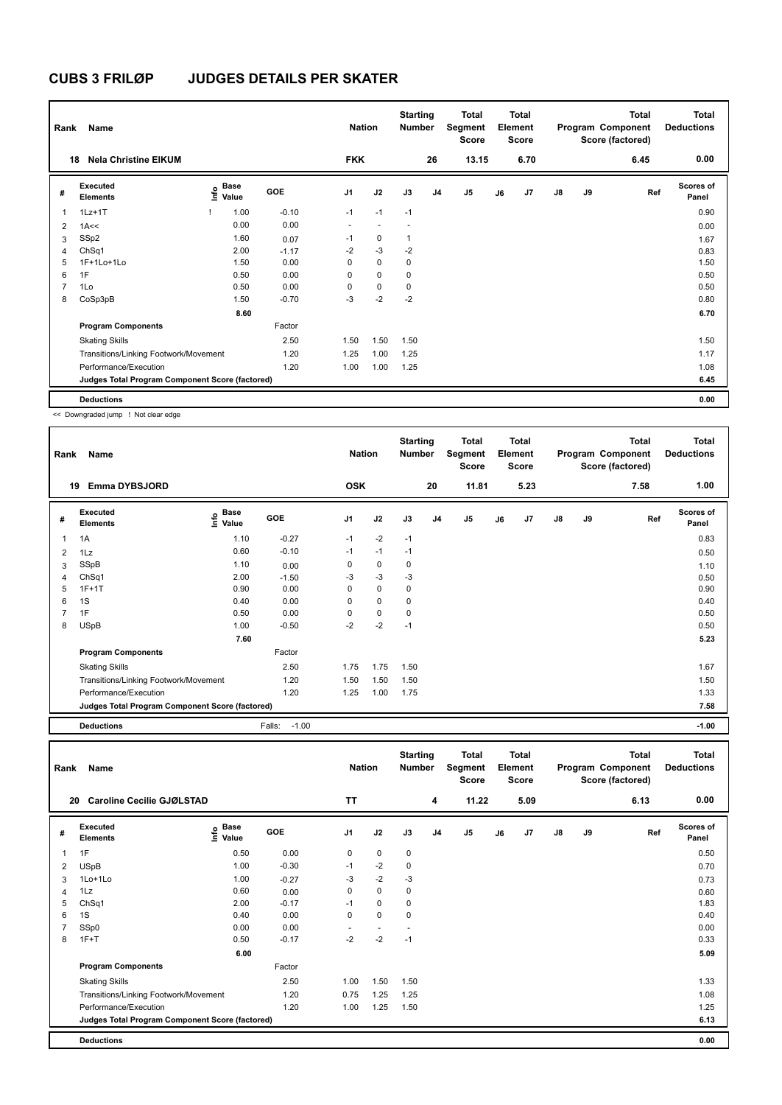| Rank | Name                                            |                              |         | <b>Nation</b>  |                          | <b>Starting</b><br><b>Number</b> |                | Total<br>Segment<br><b>Score</b> |    | <b>Total</b><br>Element<br><b>Score</b> |               |    | Total<br>Program Component<br>Score (factored) | <b>Total</b><br><b>Deductions</b> |
|------|-------------------------------------------------|------------------------------|---------|----------------|--------------------------|----------------------------------|----------------|----------------------------------|----|-----------------------------------------|---------------|----|------------------------------------------------|-----------------------------------|
| 18   | <b>Nela Christine EIKUM</b>                     |                              |         | <b>FKK</b>     |                          |                                  | 26             | 13.15                            |    | 6.70                                    |               |    | 6.45                                           | 0.00                              |
| #    | Executed<br><b>Elements</b>                     | <b>Base</b><br>lnfo<br>Value | GOE     | J <sub>1</sub> | J2                       | J3                               | J <sub>4</sub> | J <sub>5</sub>                   | J6 | J7                                      | $\mathsf{J}8$ | J9 | Ref                                            | <b>Scores of</b><br>Panel         |
| 1    | $1Lz+1T$                                        | 1.00                         | $-0.10$ | $-1$           | $-1$                     | $-1$                             |                |                                  |    |                                         |               |    |                                                | 0.90                              |
| 2    | 1A<<                                            | 0.00                         | 0.00    | $\sim$         | $\overline{\phantom{a}}$ | $\overline{\phantom{a}}$         |                |                                  |    |                                         |               |    |                                                | 0.00                              |
| 3    | SSp2                                            | 1.60                         | 0.07    | $-1$           | 0                        |                                  |                |                                  |    |                                         |               |    |                                                | 1.67                              |
| 4    | ChSq1                                           | 2.00                         | $-1.17$ | $-2$           | $-3$                     | $-2$                             |                |                                  |    |                                         |               |    |                                                | 0.83                              |
| 5    | 1F+1Lo+1Lo                                      | 1.50                         | 0.00    | 0              | $\mathbf 0$              | 0                                |                |                                  |    |                                         |               |    |                                                | 1.50                              |
| 6    | 1F                                              | 0.50                         | 0.00    | 0              | $\mathbf 0$              | 0                                |                |                                  |    |                                         |               |    |                                                | 0.50                              |
|      | 1Lo                                             | 0.50                         | 0.00    | 0              | $\mathbf 0$              | 0                                |                |                                  |    |                                         |               |    |                                                | 0.50                              |
| 8    | CoSp3pB                                         | 1.50                         | $-0.70$ | $-3$           | $-2$                     | $-2$                             |                |                                  |    |                                         |               |    |                                                | 0.80                              |
|      |                                                 | 8.60                         |         |                |                          |                                  |                |                                  |    |                                         |               |    |                                                | 6.70                              |
|      | <b>Program Components</b>                       |                              | Factor  |                |                          |                                  |                |                                  |    |                                         |               |    |                                                |                                   |
|      | <b>Skating Skills</b>                           |                              | 2.50    | 1.50           | 1.50                     | 1.50                             |                |                                  |    |                                         |               |    |                                                | 1.50                              |
|      | Transitions/Linking Footwork/Movement           |                              | 1.20    | 1.25           | 1.00                     | 1.25                             |                |                                  |    |                                         |               |    |                                                | 1.17                              |
|      | Performance/Execution                           |                              | 1.20    | 1.00           | 1.00                     | 1.25                             |                |                                  |    |                                         |               |    |                                                | 1.08                              |
|      | Judges Total Program Component Score (factored) |                              |         |                |                          |                                  |                |                                  |    |                                         |               |    |                                                | 6.45                              |
|      | <b>Deductions</b>                               |                              |         |                |                          |                                  |                |                                  |    |                                         |               |    |                                                | 0.00                              |

<< Downgraded jump ! Not clear edge

| Rank           | Name                                            |                              |                   | <b>Nation</b>  |             | <b>Starting</b><br><b>Number</b> |                | Total<br>Segment<br><b>Score</b> |    | Total<br>Element<br><b>Score</b> |    |    | <b>Total</b><br>Program Component<br>Score (factored) | <b>Total</b><br><b>Deductions</b> |
|----------------|-------------------------------------------------|------------------------------|-------------------|----------------|-------------|----------------------------------|----------------|----------------------------------|----|----------------------------------|----|----|-------------------------------------------------------|-----------------------------------|
|                | <b>Emma DYBSJORD</b><br>19                      |                              |                   | <b>OSK</b>     |             |                                  | 20             | 11.81                            |    | 5.23                             |    |    | 7.58                                                  | 1.00                              |
| #              | Executed<br><b>Elements</b>                     | <b>Base</b><br>lnfo<br>Value | GOE               | J <sub>1</sub> | J2          | J3                               | J <sub>4</sub> | J5                               | J6 | J <sub>7</sub>                   | J8 | J9 | Ref                                                   | Scores of<br>Panel                |
| $\mathbf{1}$   | 1A                                              | 1.10                         | $-0.27$           | $-1$           | $-2$        | $-1$                             |                |                                  |    |                                  |    |    |                                                       | 0.83                              |
| $\overline{2}$ | 1Lz                                             | 0.60                         | $-0.10$           | $-1$           | $-1$        | $-1$                             |                |                                  |    |                                  |    |    |                                                       | 0.50                              |
| 3              | SSpB                                            | 1.10                         | 0.00              | 0              | 0           | $\mathbf 0$                      |                |                                  |    |                                  |    |    |                                                       | 1.10                              |
| 4              | ChSq1                                           | 2.00                         | $-1.50$           | $-3$           | $-3$        | $-3$                             |                |                                  |    |                                  |    |    |                                                       | 0.50                              |
| 5              | $1F+1T$                                         | 0.90                         | 0.00              | 0              | 0           | 0                                |                |                                  |    |                                  |    |    |                                                       | 0.90                              |
| 6              | 1S                                              | 0.40                         | 0.00              | 0              | $\mathbf 0$ | 0                                |                |                                  |    |                                  |    |    |                                                       | 0.40                              |
| $\overline{7}$ | 1F                                              | 0.50                         | 0.00              | $\Omega$       | 0           | 0                                |                |                                  |    |                                  |    |    |                                                       | 0.50                              |
| 8              | <b>USpB</b>                                     | 1.00                         | $-0.50$           | $-2$           | $-2$        | $-1$                             |                |                                  |    |                                  |    |    |                                                       | 0.50                              |
|                |                                                 | 7.60                         |                   |                |             |                                  |                |                                  |    |                                  |    |    |                                                       | 5.23                              |
|                | <b>Program Components</b>                       |                              | Factor            |                |             |                                  |                |                                  |    |                                  |    |    |                                                       |                                   |
|                | <b>Skating Skills</b>                           |                              | 2.50              | 1.75           | 1.75        | 1.50                             |                |                                  |    |                                  |    |    |                                                       | 1.67                              |
|                | Transitions/Linking Footwork/Movement           |                              | 1.20              | 1.50           | 1.50        | 1.50                             |                |                                  |    |                                  |    |    |                                                       | 1.50                              |
|                | Performance/Execution                           |                              | 1.20              | 1.25           | 1.00        | 1.75                             |                |                                  |    |                                  |    |    |                                                       | 1.33                              |
|                | Judges Total Program Component Score (factored) |                              |                   |                |             |                                  |                |                                  |    |                                  |    |    |                                                       | 7.58                              |
|                | <b>Deductions</b>                               |                              | $-1.00$<br>Falls: |                |             |                                  |                |                                  |    |                                  |    |    |                                                       | $-1.00$                           |

| Rank         | Name                                            |                           |         | <b>Nation</b>  |                          | <b>Starting</b><br><b>Number</b> |    | <b>Total</b><br>Segment<br><b>Score</b> |    | <b>Total</b><br>Element<br><b>Score</b> |               |    | <b>Total</b><br>Program Component<br>Score (factored) | <b>Total</b><br><b>Deductions</b> |
|--------------|-------------------------------------------------|---------------------------|---------|----------------|--------------------------|----------------------------------|----|-----------------------------------------|----|-----------------------------------------|---------------|----|-------------------------------------------------------|-----------------------------------|
| 20           | Caroline Cecilie GJØLSTAD                       |                           |         | <b>TT</b>      |                          |                                  | 4  | 11.22                                   |    | 5.09                                    |               |    | 6.13                                                  | 0.00                              |
| #            | Executed<br><b>Elements</b>                     | Base<br>e Base<br>⊆ Value | GOE     | J <sub>1</sub> | J2                       | J3                               | J4 | J <sub>5</sub>                          | J6 | J7                                      | $\mathsf{J}8$ | J9 | Ref                                                   | <b>Scores of</b><br>Panel         |
| $\mathbf{1}$ | 1F                                              | 0.50                      | 0.00    | 0              | 0                        | $\mathbf 0$                      |    |                                         |    |                                         |               |    |                                                       | 0.50                              |
| 2            | <b>USpB</b>                                     | 1.00                      | $-0.30$ | $-1$           | $-2$                     | 0                                |    |                                         |    |                                         |               |    |                                                       | 0.70                              |
| 3            | 1Lo+1Lo                                         | 1.00                      | $-0.27$ | $-3$           | $-2$                     | $-3$                             |    |                                         |    |                                         |               |    |                                                       | 0.73                              |
| 4            | 1Lz                                             | 0.60                      | 0.00    | 0              | $\mathbf 0$              | $\mathbf 0$                      |    |                                         |    |                                         |               |    |                                                       | 0.60                              |
| 5            | ChSq1                                           | 2.00                      | $-0.17$ | $-1$           | $\mathbf 0$              | 0                                |    |                                         |    |                                         |               |    |                                                       | 1.83                              |
| 6            | 1S                                              | 0.40                      | 0.00    | 0              | $\mathbf 0$              | 0                                |    |                                         |    |                                         |               |    |                                                       | 0.40                              |
| 7            | SSp0                                            | 0.00                      | 0.00    |                | $\overline{\phantom{a}}$ |                                  |    |                                         |    |                                         |               |    |                                                       | 0.00                              |
| 8            | $1F+T$                                          | 0.50                      | $-0.17$ | $-2$           | $-2$                     | $-1$                             |    |                                         |    |                                         |               |    |                                                       | 0.33                              |
|              |                                                 | 6.00                      |         |                |                          |                                  |    |                                         |    |                                         |               |    |                                                       | 5.09                              |
|              | <b>Program Components</b>                       |                           | Factor  |                |                          |                                  |    |                                         |    |                                         |               |    |                                                       |                                   |
|              | <b>Skating Skills</b>                           |                           | 2.50    | 1.00           | 1.50                     | 1.50                             |    |                                         |    |                                         |               |    |                                                       | 1.33                              |
|              | Transitions/Linking Footwork/Movement           |                           | 1.20    | 0.75           | 1.25                     | 1.25                             |    |                                         |    |                                         |               |    |                                                       | 1.08                              |
|              | Performance/Execution                           |                           | 1.20    | 1.00           | 1.25                     | 1.50                             |    |                                         |    |                                         |               |    |                                                       | 1.25                              |
|              | Judges Total Program Component Score (factored) |                           |         |                |                          |                                  |    |                                         |    |                                         |               |    |                                                       | 6.13                              |
|              | <b>Deductions</b>                               |                           |         |                |                          |                                  |    |                                         |    |                                         |               |    |                                                       | 0.00                              |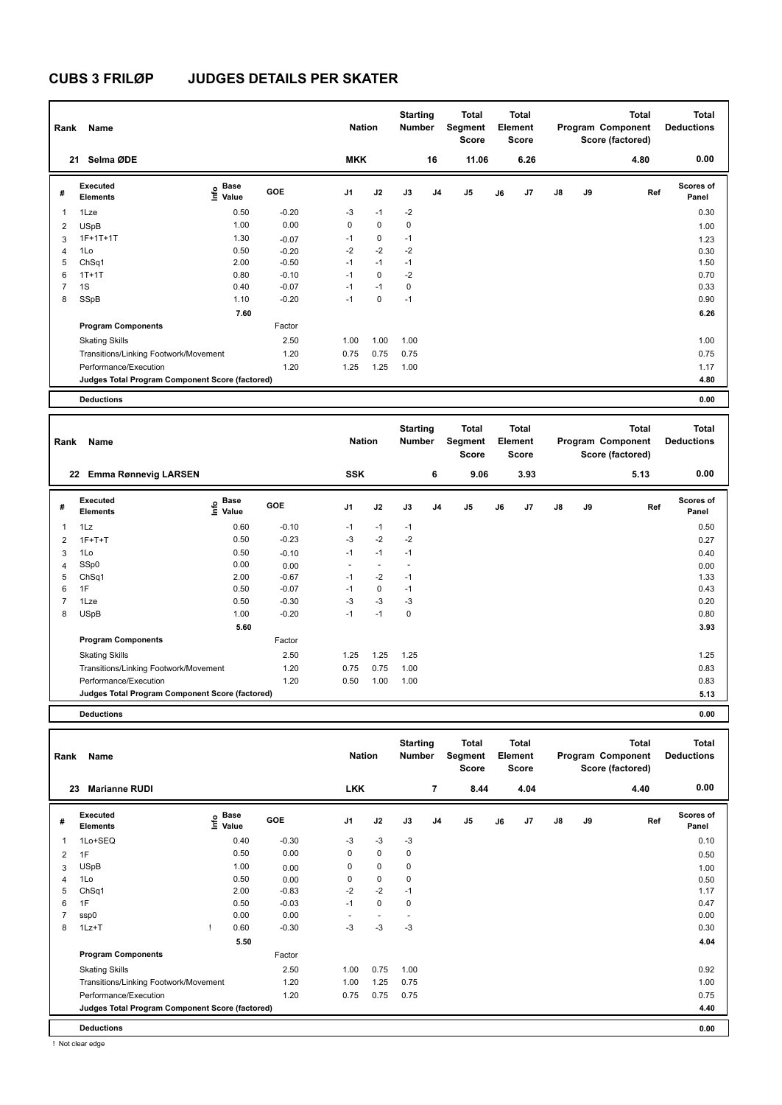| Rank           | Name                                            |                              |         | <b>Nation</b>  |             | <b>Starting</b><br><b>Number</b> |                | <b>Total</b><br>Segment<br><b>Score</b> |    | Total<br>Element<br><b>Score</b> |               |    | <b>Total</b><br>Program Component<br>Score (factored) | <b>Total</b><br><b>Deductions</b> |
|----------------|-------------------------------------------------|------------------------------|---------|----------------|-------------|----------------------------------|----------------|-----------------------------------------|----|----------------------------------|---------------|----|-------------------------------------------------------|-----------------------------------|
|                | Selma ØDE<br>21                                 |                              |         | <b>MKK</b>     |             |                                  | 16             | 11.06                                   |    | 6.26                             |               |    | 4.80                                                  | 0.00                              |
| #              | Executed<br><b>Elements</b>                     | <b>Base</b><br>١nfo<br>Value | GOE     | J <sub>1</sub> | J2          | J3                               | J <sub>4</sub> | J5                                      | J6 | J <sub>7</sub>                   | $\mathsf{J}8$ | J9 | Ref                                                   | <b>Scores of</b><br>Panel         |
| 1              | 1Lze                                            | 0.50                         | $-0.20$ | $-3$           | $-1$        | $-2$                             |                |                                         |    |                                  |               |    |                                                       | 0.30                              |
| $\overline{2}$ | <b>USpB</b>                                     | 1.00                         | 0.00    | 0              | $\mathbf 0$ | $\mathbf 0$                      |                |                                         |    |                                  |               |    |                                                       | 1.00                              |
| 3              | $1F+1T+1T$                                      | 1.30                         | $-0.07$ | $-1$           | $\mathbf 0$ | $-1$                             |                |                                         |    |                                  |               |    |                                                       | 1.23                              |
| $\overline{4}$ | 1Lo                                             | 0.50                         | $-0.20$ | $-2$           | $-2$        | $-2$                             |                |                                         |    |                                  |               |    |                                                       | 0.30                              |
| 5              | ChSq1                                           | 2.00                         | $-0.50$ | $-1$           | $-1$        | $-1$                             |                |                                         |    |                                  |               |    |                                                       | 1.50                              |
| 6              | $1T+1T$                                         | 0.80                         | $-0.10$ | $-1$           | $\mathbf 0$ | $-2$                             |                |                                         |    |                                  |               |    |                                                       | 0.70                              |
| $\overline{7}$ | 1S                                              | 0.40                         | $-0.07$ | $-1$           | $-1$        | 0                                |                |                                         |    |                                  |               |    |                                                       | 0.33                              |
| 8              | SSpB                                            | 1.10                         | $-0.20$ | $-1$           | $\mathbf 0$ | $-1$                             |                |                                         |    |                                  |               |    |                                                       | 0.90                              |
|                |                                                 | 7.60                         |         |                |             |                                  |                |                                         |    |                                  |               |    |                                                       | 6.26                              |
|                | <b>Program Components</b>                       |                              | Factor  |                |             |                                  |                |                                         |    |                                  |               |    |                                                       |                                   |
|                | <b>Skating Skills</b>                           |                              | 2.50    | 1.00           | 1.00        | 1.00                             |                |                                         |    |                                  |               |    |                                                       | 1.00                              |
|                | Transitions/Linking Footwork/Movement           |                              | 1.20    | 0.75           | 0.75        | 0.75                             |                |                                         |    |                                  |               |    |                                                       | 0.75                              |
|                | Performance/Execution                           |                              | 1.20    | 1.25           | 1.25        | 1.00                             |                |                                         |    |                                  |               |    |                                                       | 1.17                              |
|                | Judges Total Program Component Score (factored) |                              |         |                |             |                                  |                |                                         |    |                                  |               |    |                                                       | 4.80                              |
|                | <b>Deductions</b>                               |                              |         |                |             |                                  |                |                                         |    |                                  |               |    |                                                       | 0.00                              |

| Rank           | Name                                            |                                           |            | <b>Nation</b>  |                          | <b>Starting</b><br>Number |                | Total<br>Segment<br><b>Score</b> |    | <b>Total</b><br>Element<br><b>Score</b> |               |    | <b>Total</b><br>Program Component<br>Score (factored) | <b>Total</b><br><b>Deductions</b> |
|----------------|-------------------------------------------------|-------------------------------------------|------------|----------------|--------------------------|---------------------------|----------------|----------------------------------|----|-----------------------------------------|---------------|----|-------------------------------------------------------|-----------------------------------|
|                | <b>Emma Rønnevig LARSEN</b><br>22               |                                           |            | <b>SSK</b>     |                          |                           | 6              | 9.06                             |    | 3.93                                    |               |    | 5.13                                                  | 0.00                              |
| #              | <b>Executed</b><br><b>Elements</b>              | $\frac{e}{E}$ Base<br>$\frac{e}{E}$ Value | <b>GOE</b> | J <sub>1</sub> | J2                       | J3                        | J <sub>4</sub> | J <sub>5</sub>                   | J6 | J7                                      | $\mathsf{J}8$ | J9 | Ref                                                   | <b>Scores of</b><br>Panel         |
| 1              | 1Lz                                             | 0.60                                      | $-0.10$    | $-1$           | $-1$                     | $-1$                      |                |                                  |    |                                         |               |    |                                                       | 0.50                              |
| $\overline{2}$ | $1F+T+T$                                        | 0.50                                      | $-0.23$    | $-3$           | $-2$                     | $-2$                      |                |                                  |    |                                         |               |    |                                                       | 0.27                              |
| 3              | 1Lo                                             | 0.50                                      | $-0.10$    | $-1$           | $-1$                     | $-1$                      |                |                                  |    |                                         |               |    |                                                       | 0.40                              |
| 4              | SSp0                                            | 0.00                                      | 0.00       |                | $\overline{\phantom{a}}$ | $\overline{\phantom{a}}$  |                |                                  |    |                                         |               |    |                                                       | 0.00                              |
| 5              | Ch <sub>Sq1</sub>                               | 2.00                                      | $-0.67$    | $-1$           | $-2$                     | $-1$                      |                |                                  |    |                                         |               |    |                                                       | 1.33                              |
| 6              | 1F                                              | 0.50                                      | $-0.07$    | $-1$           | $\mathbf 0$              | $-1$                      |                |                                  |    |                                         |               |    |                                                       | 0.43                              |
| 7              | 1Lze                                            | 0.50                                      | $-0.30$    | $-3$           | $-3$                     | $-3$                      |                |                                  |    |                                         |               |    |                                                       | 0.20                              |
| 8              | <b>USpB</b>                                     | 1.00                                      | $-0.20$    | $-1$           | $-1$                     | $\mathbf 0$               |                |                                  |    |                                         |               |    |                                                       | 0.80                              |
|                |                                                 | 5.60                                      |            |                |                          |                           |                |                                  |    |                                         |               |    |                                                       | 3.93                              |
|                | <b>Program Components</b>                       |                                           | Factor     |                |                          |                           |                |                                  |    |                                         |               |    |                                                       |                                   |
|                | <b>Skating Skills</b>                           |                                           | 2.50       | 1.25           | 1.25                     | 1.25                      |                |                                  |    |                                         |               |    |                                                       | 1.25                              |
|                | Transitions/Linking Footwork/Movement           |                                           | 1.20       | 0.75           | 0.75                     | 1.00                      |                |                                  |    |                                         |               |    |                                                       | 0.83                              |
|                | Performance/Execution                           |                                           | 1.20       | 0.50           | 1.00                     | 1.00                      |                |                                  |    |                                         |               |    |                                                       | 0.83                              |
|                | Judges Total Program Component Score (factored) |                                           |            |                |                          |                           |                |                                  |    |                                         |               |    |                                                       | 5.13                              |
|                |                                                 |                                           |            |                |                          |                           |                |                                  |    |                                         |               |    |                                                       |                                   |

**Deductions 0.00**

| Rank           | Name                                            |                                  |      |         | <b>Nation</b>  |                          | <b>Starting</b><br><b>Number</b> |                | Total<br>Segment<br><b>Score</b> |    | <b>Total</b><br>Element<br><b>Score</b> |               |    | <b>Total</b><br>Program Component<br>Score (factored) | <b>Total</b><br><b>Deductions</b> |
|----------------|-------------------------------------------------|----------------------------------|------|---------|----------------|--------------------------|----------------------------------|----------------|----------------------------------|----|-----------------------------------------|---------------|----|-------------------------------------------------------|-----------------------------------|
| 23             | <b>Marianne RUDI</b>                            |                                  |      |         | <b>LKK</b>     |                          |                                  | 7              | 8.44                             |    | 4.04                                    |               |    | 4.40                                                  | 0.00                              |
| #              | Executed<br><b>Elements</b>                     | <b>Base</b><br>o Base<br>⊆ Value |      | GOE     | J <sub>1</sub> | J2                       | J3                               | J <sub>4</sub> | J <sub>5</sub>                   | J6 | J7                                      | $\mathsf{J}8$ | J9 | Ref                                                   | <b>Scores of</b><br>Panel         |
| 1              | 1Lo+SEQ                                         |                                  | 0.40 | $-0.30$ | $-3$           | $-3$                     | $-3$                             |                |                                  |    |                                         |               |    |                                                       | 0.10                              |
| 2              | 1F                                              |                                  | 0.50 | 0.00    | 0              | $\mathbf 0$              | $\mathbf 0$                      |                |                                  |    |                                         |               |    |                                                       | 0.50                              |
| 3              | <b>USpB</b>                                     |                                  | 1.00 | 0.00    | $\Omega$       | $\mathbf 0$              | 0                                |                |                                  |    |                                         |               |    |                                                       | 1.00                              |
| $\overline{4}$ | 1Lo                                             |                                  | 0.50 | 0.00    | 0              | $\mathbf 0$              | 0                                |                |                                  |    |                                         |               |    |                                                       | 0.50                              |
| 5              | ChSq1                                           |                                  | 2.00 | $-0.83$ | $-2$           | $-2$                     | $-1$                             |                |                                  |    |                                         |               |    |                                                       | 1.17                              |
| 6              | 1F                                              |                                  | 0.50 | $-0.03$ | $-1$           | $\mathbf 0$              | 0                                |                |                                  |    |                                         |               |    |                                                       | 0.47                              |
|                | ssp0                                            |                                  | 0.00 | 0.00    | ٠              | $\overline{\phantom{a}}$ | $\overline{\phantom{a}}$         |                |                                  |    |                                         |               |    |                                                       | 0.00                              |
| 8              | $1Lz+T$                                         |                                  | 0.60 | $-0.30$ | $-3$           | $-3$                     | $-3$                             |                |                                  |    |                                         |               |    |                                                       | 0.30                              |
|                |                                                 |                                  | 5.50 |         |                |                          |                                  |                |                                  |    |                                         |               |    |                                                       | 4.04                              |
|                | <b>Program Components</b>                       |                                  |      | Factor  |                |                          |                                  |                |                                  |    |                                         |               |    |                                                       |                                   |
|                | <b>Skating Skills</b>                           |                                  |      | 2.50    | 1.00           | 0.75                     | 1.00                             |                |                                  |    |                                         |               |    |                                                       | 0.92                              |
|                | Transitions/Linking Footwork/Movement           |                                  |      | 1.20    | 1.00           | 1.25                     | 0.75                             |                |                                  |    |                                         |               |    |                                                       | 1.00                              |
|                | Performance/Execution                           |                                  |      | 1.20    | 0.75           | 0.75                     | 0.75                             |                |                                  |    |                                         |               |    |                                                       | 0.75                              |
|                | Judges Total Program Component Score (factored) |                                  |      |         |                |                          |                                  |                |                                  |    |                                         |               |    |                                                       | 4.40                              |
|                | <b>Deductions</b>                               |                                  |      |         |                |                          |                                  |                |                                  |    |                                         |               |    |                                                       | 0.00                              |

! Not clear edge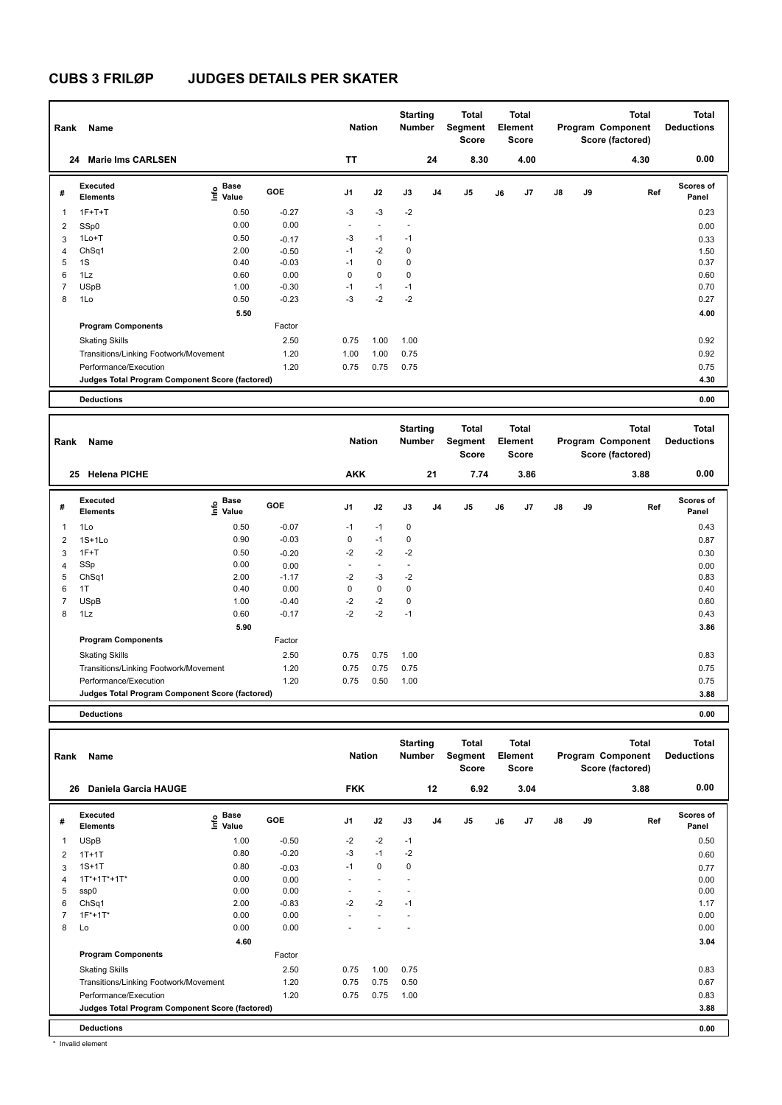| Rank                     | Name                                            |                           |         | <b>Nation</b>  |                          | <b>Starting</b><br><b>Number</b> |                | <b>Total</b><br>Segment<br><b>Score</b> |    | Total<br>Element<br><b>Score</b> |               |    | <b>Total</b><br>Program Component<br>Score (factored) | <b>Total</b><br><b>Deductions</b> |
|--------------------------|-------------------------------------------------|---------------------------|---------|----------------|--------------------------|----------------------------------|----------------|-----------------------------------------|----|----------------------------------|---------------|----|-------------------------------------------------------|-----------------------------------|
|                          | <b>Marie Ims CARLSEN</b><br>24                  |                           |         | <b>TT</b>      |                          |                                  | 24             | 8.30                                    |    | 4.00                             |               |    | 4.30                                                  | 0.00                              |
| #                        | Executed<br><b>Elements</b>                     | <b>Base</b><br>e<br>Value | GOE     | J <sub>1</sub> | J2                       | J3                               | J <sub>4</sub> | J5                                      | J6 | J <sub>7</sub>                   | $\mathsf{J}8$ | J9 | Ref                                                   | <b>Scores of</b><br>Panel         |
| $\overline{\phantom{a}}$ | $1F+T+T$                                        | 0.50                      | $-0.27$ | $-3$           | $-3$                     | $-2$                             |                |                                         |    |                                  |               |    |                                                       | 0.23                              |
| $\overline{2}$           | SSp0                                            | 0.00                      | 0.00    | $\sim$         | $\overline{\phantom{a}}$ | $\sim$                           |                |                                         |    |                                  |               |    |                                                       | 0.00                              |
| 3                        | $1Lo+T$                                         | 0.50                      | $-0.17$ | $-3$           | $-1$                     | $-1$                             |                |                                         |    |                                  |               |    |                                                       | 0.33                              |
| $\overline{4}$           | ChSq1                                           | 2.00                      | $-0.50$ | $-1$           | $-2$                     | $\mathbf 0$                      |                |                                         |    |                                  |               |    |                                                       | 1.50                              |
| 5                        | 1S                                              | 0.40                      | $-0.03$ | $-1$           | $\mathbf 0$              | $\mathbf 0$                      |                |                                         |    |                                  |               |    |                                                       | 0.37                              |
| 6                        | 1Lz                                             | 0.60                      | 0.00    | 0              | $\mathbf 0$              | $\mathbf 0$                      |                |                                         |    |                                  |               |    |                                                       | 0.60                              |
| $\overline{7}$           | <b>USpB</b>                                     | 1.00                      | $-0.30$ | $-1$           | $-1$                     | $-1$                             |                |                                         |    |                                  |               |    |                                                       | 0.70                              |
| 8                        | 1Lo                                             | 0.50                      | $-0.23$ | $-3$           | $-2$                     | $-2$                             |                |                                         |    |                                  |               |    |                                                       | 0.27                              |
|                          |                                                 | 5.50                      |         |                |                          |                                  |                |                                         |    |                                  |               |    |                                                       | 4.00                              |
|                          | <b>Program Components</b>                       |                           | Factor  |                |                          |                                  |                |                                         |    |                                  |               |    |                                                       |                                   |
|                          | <b>Skating Skills</b>                           |                           | 2.50    | 0.75           | 1.00                     | 1.00                             |                |                                         |    |                                  |               |    |                                                       | 0.92                              |
|                          | Transitions/Linking Footwork/Movement           |                           | 1.20    | 1.00           | 1.00                     | 0.75                             |                |                                         |    |                                  |               |    |                                                       | 0.92                              |
|                          | Performance/Execution                           |                           | 1.20    | 0.75           | 0.75                     | 0.75                             |                |                                         |    |                                  |               |    |                                                       | 0.75                              |
|                          | Judges Total Program Component Score (factored) |                           |         |                |                          |                                  |                |                                         |    |                                  |               |    |                                                       | 4.30                              |
|                          | <b>Deductions</b>                               |                           |         |                |                          |                                  |                |                                         |    |                                  |               |    |                                                       | 0.00                              |

| Rank                                            | Name                                  |                           |         | <b>Nation</b>            |                          | <b>Starting</b><br>Number |                | Segment | <b>Total</b><br><b>Score</b> |    | <b>Total</b><br>Element<br><b>Score</b> |               |    | <b>Total</b><br>Program Component<br>Score (factored) | <b>Total</b><br><b>Deductions</b> |
|-------------------------------------------------|---------------------------------------|---------------------------|---------|--------------------------|--------------------------|---------------------------|----------------|---------|------------------------------|----|-----------------------------------------|---------------|----|-------------------------------------------------------|-----------------------------------|
|                                                 | <b>Helena PICHE</b><br>25             |                           |         | <b>AKK</b>               |                          |                           | 21             |         | 7.74                         |    | 3.86                                    |               |    | 3.88                                                  | 0.00                              |
| #                                               | Executed<br><b>Elements</b>           | Base<br>o Base<br>⊆ Value | GOE     | J <sub>1</sub>           | J2                       | J3                        | J <sub>4</sub> | J5      |                              | J6 | J <sub>7</sub>                          | $\mathsf{J}8$ | J9 | Ref                                                   | <b>Scores of</b><br>Panel         |
| 1                                               | 1Lo                                   | 0.50                      | $-0.07$ | $-1$                     | $-1$                     | 0                         |                |         |                              |    |                                         |               |    |                                                       | 0.43                              |
| $\overline{2}$                                  | $1S+1Lo$                              | 0.90                      | $-0.03$ | 0                        | $-1$                     | 0                         |                |         |                              |    |                                         |               |    |                                                       | 0.87                              |
| 3                                               | $1F+T$                                | 0.50                      | $-0.20$ | $-2$                     | $-2$                     | $-2$                      |                |         |                              |    |                                         |               |    |                                                       | 0.30                              |
| 4                                               | SSp                                   | 0.00                      | 0.00    | $\overline{\phantom{a}}$ | $\overline{\phantom{a}}$ | $\overline{\phantom{a}}$  |                |         |                              |    |                                         |               |    |                                                       | 0.00                              |
| 5                                               | ChSq1                                 | 2.00                      | $-1.17$ | $-2$                     | $-3$                     | $-2$                      |                |         |                              |    |                                         |               |    |                                                       | 0.83                              |
| 6                                               | 1T                                    | 0.40                      | 0.00    | 0                        | $\mathbf 0$              | $\mathbf 0$               |                |         |                              |    |                                         |               |    |                                                       | 0.40                              |
| 7                                               | <b>USpB</b>                           | 1.00                      | $-0.40$ | $-2$                     | $-2$                     | $\mathbf 0$               |                |         |                              |    |                                         |               |    |                                                       | 0.60                              |
| 8                                               | 1Lz                                   | 0.60                      | $-0.17$ | $-2$                     | $-2$                     | $-1$                      |                |         |                              |    |                                         |               |    |                                                       | 0.43                              |
|                                                 |                                       | 5.90                      |         |                          |                          |                           |                |         |                              |    |                                         |               |    |                                                       | 3.86                              |
|                                                 | <b>Program Components</b>             |                           | Factor  |                          |                          |                           |                |         |                              |    |                                         |               |    |                                                       |                                   |
|                                                 | <b>Skating Skills</b>                 |                           | 2.50    | 0.75                     | 0.75                     | 1.00                      |                |         |                              |    |                                         |               |    |                                                       | 0.83                              |
|                                                 | Transitions/Linking Footwork/Movement |                           | 1.20    | 0.75                     | 0.75                     | 0.75                      |                |         |                              |    |                                         |               |    |                                                       | 0.75                              |
|                                                 | Performance/Execution                 |                           | 1.20    | 0.75                     | 0.50                     | 1.00                      |                |         |                              |    |                                         |               |    |                                                       | 0.75                              |
| Judges Total Program Component Score (factored) |                                       |                           |         |                          |                          |                           |                |         |                              |    |                                         |               |    |                                                       | 3.88                              |
|                                                 |                                       |                           |         |                          |                          |                           |                |         |                              |    |                                         |               |    |                                                       |                                   |

**Deductions 0.00**

| Rank | Name                                            |                             |         | <b>Nation</b>            |                          | <b>Starting</b><br><b>Number</b> |                | Total<br>Segment<br><b>Score</b> |    | <b>Total</b><br>Element<br><b>Score</b> |               |    | <b>Total</b><br>Program Component<br>Score (factored) | Total<br><b>Deductions</b> |
|------|-------------------------------------------------|-----------------------------|---------|--------------------------|--------------------------|----------------------------------|----------------|----------------------------------|----|-----------------------------------------|---------------|----|-------------------------------------------------------|----------------------------|
| 26   | Daniela Garcia HAUGE                            |                             |         | <b>FKK</b>               |                          |                                  | 12             | 6.92                             |    | 3.04                                    |               |    | 3.88                                                  | 0.00                       |
| #    | Executed<br><b>Elements</b>                     | Base<br>$\frac{6}{5}$ Value | GOE     | J <sub>1</sub>           | J2                       | J3                               | J <sub>4</sub> | J <sub>5</sub>                   | J6 | J7                                      | $\mathsf{J}8$ | J9 | Ref                                                   | <b>Scores of</b><br>Panel  |
| 1    | <b>USpB</b>                                     | 1.00                        | $-0.50$ | $-2$                     | $-2$                     | $-1$                             |                |                                  |    |                                         |               |    |                                                       | 0.50                       |
| 2    | $1T+1T$                                         | 0.80                        | $-0.20$ | $-3$                     | $-1$                     | $-2$                             |                |                                  |    |                                         |               |    |                                                       | 0.60                       |
| 3    | $1S+1T$                                         | 0.80                        | $-0.03$ | $-1$                     | $\mathbf 0$              | 0                                |                |                                  |    |                                         |               |    |                                                       | 0.77                       |
| 4    | $1T*+1T*+1T*$                                   | 0.00                        | 0.00    | $\overline{\phantom{a}}$ | $\overline{\phantom{a}}$ |                                  |                |                                  |    |                                         |               |    |                                                       | 0.00                       |
| 5    | ssp0                                            | 0.00                        | 0.00    |                          |                          |                                  |                |                                  |    |                                         |               |    |                                                       | 0.00                       |
| 6    | ChSq1                                           | 2.00                        | $-0.83$ | $-2$                     | $-2$                     | $-1$                             |                |                                  |    |                                         |               |    |                                                       | 1.17                       |
|      | $1F*+1T*$                                       | 0.00                        | 0.00    |                          |                          |                                  |                |                                  |    |                                         |               |    |                                                       | 0.00                       |
| 8    | Lo                                              | 0.00                        | 0.00    |                          |                          |                                  |                |                                  |    |                                         |               |    |                                                       | 0.00                       |
|      |                                                 | 4.60                        |         |                          |                          |                                  |                |                                  |    |                                         |               |    |                                                       | 3.04                       |
|      | <b>Program Components</b>                       |                             | Factor  |                          |                          |                                  |                |                                  |    |                                         |               |    |                                                       |                            |
|      | <b>Skating Skills</b>                           |                             | 2.50    | 0.75                     | 1.00                     | 0.75                             |                |                                  |    |                                         |               |    |                                                       | 0.83                       |
|      | Transitions/Linking Footwork/Movement           |                             | 1.20    | 0.75                     | 0.75                     | 0.50                             |                |                                  |    |                                         |               |    |                                                       | 0.67                       |
|      | Performance/Execution                           |                             | 1.20    | 0.75                     | 0.75                     | 1.00                             |                |                                  |    |                                         |               |    |                                                       | 0.83                       |
|      | Judges Total Program Component Score (factored) |                             |         |                          |                          |                                  |                |                                  |    |                                         |               |    |                                                       | 3.88                       |
|      | <b>Deductions</b>                               |                             |         |                          |                          |                                  |                |                                  |    |                                         |               |    |                                                       | 0.00                       |

\* Invalid element